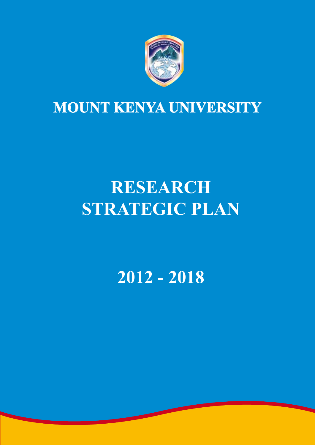

## **Mount Kenya University**

# **RESEARCH STRATEGIC PLAN**

**2012 - 2018**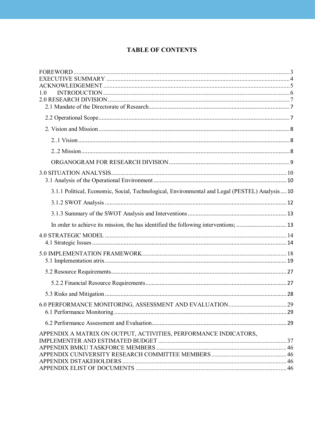### **TABLE OF CONTENTS**

| 10                                                                                             |  |
|------------------------------------------------------------------------------------------------|--|
|                                                                                                |  |
|                                                                                                |  |
|                                                                                                |  |
|                                                                                                |  |
|                                                                                                |  |
|                                                                                                |  |
|                                                                                                |  |
|                                                                                                |  |
|                                                                                                |  |
| 3.1.1 Political, Economic, Social, Technological, Environmental and Legal (PESTEL) Analysis 10 |  |
|                                                                                                |  |
|                                                                                                |  |
| In order to achieve its mission, the has identified the following interventions;  13           |  |
|                                                                                                |  |
|                                                                                                |  |
|                                                                                                |  |
|                                                                                                |  |
|                                                                                                |  |
|                                                                                                |  |
|                                                                                                |  |
|                                                                                                |  |
|                                                                                                |  |
|                                                                                                |  |
| APPENDIX A MATRIX ON OUTPUT, ACTIVITIES, PERFORMANCE INDICATORS,                               |  |
|                                                                                                |  |
|                                                                                                |  |
|                                                                                                |  |
|                                                                                                |  |
|                                                                                                |  |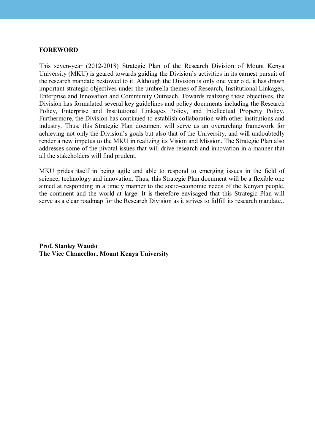#### **ForeWorD**

This seven-year (2012-2018) Strategic Plan of the Research Division of Mount Kenya University (MKU) is geared towards guiding the Division's activities in its earnest pursuit of the research mandate bestowed to it. Although the Division is only one year old, it has drawn important strategic objectives under the umbrella themes of Research, Institutional Linkages, Enterprise and Innovation and Community Outreach. Towards realizing these objectives, the Division has formulated several key guidelines and policy documents including the Research Policy, Enterprise and Institutional Linkages Policy, and Intellectual Property Policy. Furthermore, the Division has continued to establish collaboration with other institutions and industry. Thus, this Strategic Plan document will serve as an overarching framework for achieving not only the Division's goals but also that of the University, and will undoubtedly render a new impetus to the MKU in realizing its Vision and Mission. The Strategic Plan also addresses some of the pivotal issues that will drive research and innovation in a manner that all the stakeholders will find prudent.

MKU prides itself in being agile and able to respond to emerging issues in the field of science, technology and innovation. Thus, this Strategic Plan document will be a flexible one aimed at responding in a timely manner to the socio-economic needs of the Kenyan people, the continent and the world at large. It is therefore envisaged that this Strategic Plan will serve as a clear roadmap for the Research Division as it strives to fulfill its research mandate..

**Prof. stanley Waudo The Vice Chancellor, Mount Kenya University**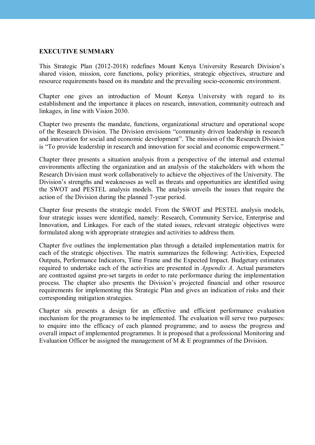#### **eXeCutive suMMary**

This Strategic Plan (2012-2018) redefines Mount Kenya University Research Division's shared vision, mission, core functions, policy priorities, strategic objectives, structure and resource requirements based on its mandate and the prevailing socio-economic environment.

Chapter one gives an introduction of Mount Kenya University with regard to its establishment and the importance it places on research, innovation, community outreach and linkages, in line with Vision 2030.

Chapter two presents the mandate, functions, organizational structure and operational scope of the Research Division. The Division envisions "community driven leadership in research and innovation for social and economic development". The mission of the Research Division is "To provide leadership in research and innovation for social and economic empowerment."

Chapter three presents a situation analysis from a perspective of the internal and external environments affecting the organization and an analysis of the stakeholders with whom the Research Division must work collaboratively to achieve the objectives of the University. The Division's strengths and weaknesses as well as threats and opportunities are identified using the SWOT and PESTEL analysis models. The analysis unveils the issues that require the action of the Division during the planned 7-year period.

Chapter four presents the strategic model. From the SWOT and PESTEL analysis models, four strategic issues were identified, namely: Research, Community Service, Enterprise and Innovation, and Linkages. For each of the stated issues, relevant strategic objectives were formulated along with appropriate strategies and activities to address them.

Chapter five outlines the implementation plan through a detailed implementation matrix for each of the strategic objectives. The matrix summarizes the following: Activities, Expected Outputs, Performance Indicators, Time Frame and the Expected Impact. Budgetary estimates required to undertake each of the activities are presented in *Appendix A*. Actual parameters are contrasted against pre-set targets in order to rate performance during the implementation process. The chapter also presents the Division's projected financial and other resource requirements for implementing this Strategic Plan and gives an indication of risks and their corresponding mitigation strategies.

Chapter six presents a design for an effective and efficient performance evaluation mechanism for the programmes to be implemented. The evaluation will serve two purposes: to enquire into the efficacy of each planned programme; and to assess the progress and overall impact of implemented programmes. It is proposed that a professional Monitoring and Evaluation Officer be assigned the management of M & E programmes of the Division.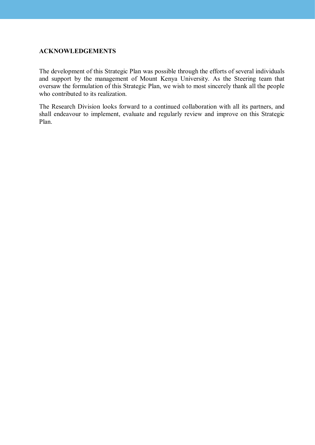#### **aCKnoWLeDGeMents**

The development of this Strategic Plan was possible through the efforts of several individuals and support by the management of Mount Kenya University. As the Steering team that oversaw the formulation of this Strategic Plan, we wish to most sincerely thank all the people who contributed to its realization.

The Research Division looks forward to a continued collaboration with all its partners, and shall endeavour to implement, evaluate and regularly review and improve on this Strategic Plan.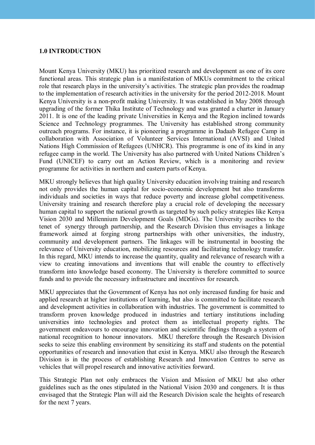#### **1.0 introDuCtion**

Mount Kenya University (MKU) has prioritized research and development as one of its core functional areas. This strategic plan is a manifestation of MKUs commitment to the critical role that research plays in the university's activities. The strategic plan provides the roadmap to the implementation of research activities in the university for the period 2012-2018. Mount Kenya University is a non-profit making University. It was established in May 2008 through upgrading of the former Thika Institute of Technology and was granted a charter in January 2011. It is one of the leading private Universities in Kenya and the Region inclined towards Science and Technology programmes. The University has established strong community outreach programs. For instance, it is pioneering a programme in Dadaab Refugee Camp in collaboration with Association of Volunteer Services International (AVSI) and United Nations High Commission of Refugees (UNHCR). This programme is one of its kind in any refugee camp in the world. The University has also partnered with United Nations Children's Fund (UNICEF) to carry out an Action Review, which is a monitoring and review programme for activities in northern and eastern parts of Kenya.

MKU strongly believes that high quality University education involving training and research not only provides the human capital for socio-economic development but also transforms individuals and societies in ways that reduce poverty and increase global competitiveness. University training and research therefore play a crucial role of developing the necessary human capital to support the national growth as targeted by such policy strategies like Kenya Vision 2030 and Millennium Development Goals (MDGs). The University ascribes to the tenet of synergy through partnership, and the Research Division thus envisages a linkage framework aimed at forging strong partnerships with other universities, the industry, community and development partners. The linkages will be instrumental in boosting the relevance of University education, mobilizing resources and facilitating technology transfer. In this regard, MKU intends to increase the quantity, quality and relevance of research with a view to creating innovations and inventions that will enable the country to effectively transform into knowledge based economy. The University is therefore committed to source funds and to provide the necessary infrastructure and incentives for research.

MKU appreciates that the Government of Kenya has not only increased funding for basic and applied research at higher institutions of learning, but also is committed to facilitate research and development activities in collaboration with industries. The government is committed to transform proven knowledge produced in industries and tertiary institutions including universities into technologies and protect them as intellectual property rights. The government endeavours to encourage innovation and scientific findings through a system of national recognition to honour innovators. MKU therefore through the Research Division seeks to seize this enabling environment by sensitizing its staff and students on the potential opportunities of research and innovation that exist in Kenya. MKU also through the Research Division is in the process of establishing Research and Innovation Centres to serve as vehicles that will propel research and innovative activities forward.

This Strategic Plan not only embraces the Vision and Mission of MKU but also other guidelines such as the ones stipulated in the National Vision 2030 and congeners. It is thus envisaged that the Strategic Plan will aid the Research Division scale the heights of research for the next 7 years.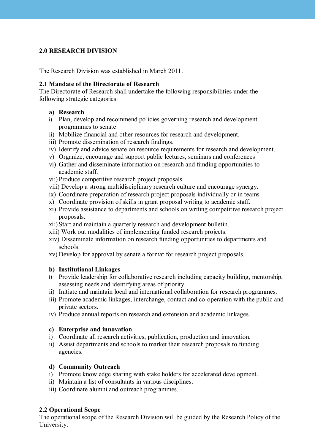#### **2.0 researCH Division**

The Research Division was established in March 2011.

#### **2.1 Mandate of the Directorate of Research**

The Directorate of Research shall undertake the following responsibilities under the following strategic categories:

#### **a) research**

- i) Plan, develop and recommend policies governing research and development programmes to senate
- ii) Mobilize financial and other resources for research and development.
- iii) Promote dissemination of research findings.
- iv) Identify and advice senate on resource requirements for research and development.
- v) Organize, encourage and support public lectures, seminars and conferences
- vi) Gather and disseminate information on research and funding opportunities to academic staff.
- vii) Produce competitive research project proposals.
- viii) Develop a strong multidisciplinary research culture and encourage synergy.
- ix) Coordinate preparation of research project proposals individually or in teams.
- x) Coordinate provision of skills in grant proposal writing to academic staff.
- xi) Provide assistance to departments and schools on writing competitive research project proposals.
- xii) Start and maintain a quarterly research and development bulletin.
- xiii) Work out modalities of implementing funded research projects.
- xiv) Disseminate information on research funding opportunities to departments and schools.
- xv) Develop for approval by senate a format for research project proposals.

#### **b) institutional Linkages**

- i) Provide leadership for collaborative research including capacity building, mentorship, assessing needs and identifying areas of priority.
- ii) Initiate and maintain local and international collaboration for research programmes.
- iii) Promote academic linkages, interchange, contact and co-operation with the public and private sectors.
- iv) Produce annual reports on research and extension and academic linkages.

#### **c) enterprise and innovation**

- i) Coordinate all research activities, publication, production and innovation.
- ii) Assist departments and schools to market their research proposals to funding agencies.

#### **d) Community outreach**

- i) Promote knowledge sharing with stake holders for accelerated development.
- ii) Maintain a list of consultants in various disciplines.
- iii) Coordinate alumni and outreach programmes.

#### **2.2 operational scope**

The operational scope of the Research Division will be guided by the Research Policy of the University.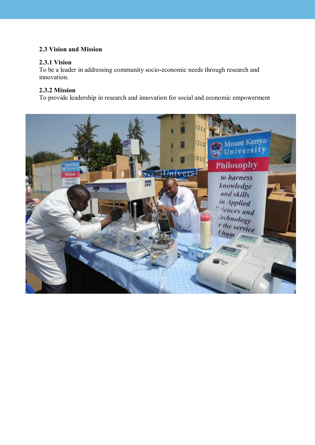#### **2.3 vision and Mission**

#### **2.3.1 vision**

To be a leader in addressing community socio-economic needs through research and innovation.

#### **2.3.2 Mission**

To provide leadership in research and innovation for social and economic empowerment

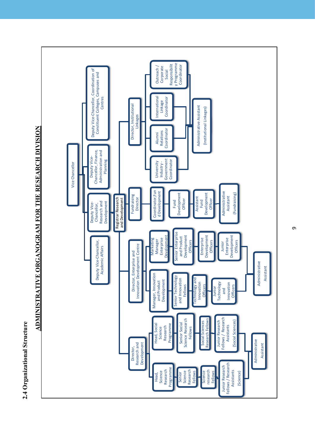



ADMINISTRATIVE ORGANOGRAM FOR THE RESEARCH DIVISION **aDMinistrative orGanoGraM For tHe researCH Division**

თ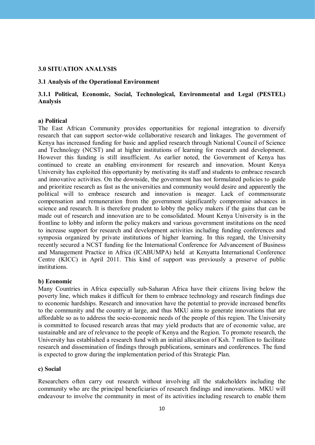#### **3.0 situation anaLysis**

#### **3.1 Analysis of the Operational Environment**

#### **3.1.1 Political, economic, social, technological, environmental and Legal (PesteL) analysis**

#### **a) Political**

The East African Community provides opportunities for regional integration to diversify research that can support sector-wide collaborative research and linkages. The government of Kenya has increased funding for basic and applied research through National Council of Science and Technology (NCST) and at higher institutions of learning for research and development. However this funding is still insufficient. As earlier noted, the Government of Kenya has continued to create an enabling environment for research and innovation. Mount Kenya University has exploited this opportunity by motivating its staff and students to embrace research and innovative activities. On the downside, the government has not formulated policies to guide and prioritize research as fast as the universities and community would desire and apparently the political will to embrace research and innovation is meager. Lack of commensurate compensation and remuneration from the government significantly compromise advances in science and research. It is therefore prudent to lobby the policy makers if the gains that can be made out of research and innovation are to be consolidated. Mount Kenya University is in the frontline to lobby and inform the policy makers and various government institutions on the need to increase support for research and development activities including funding conferences and symposia organized by private institutions of higher learning. In this regard, the University recently secured a NCST funding for the International Conference for Advancement of Business and Management Practice in Africa (ICABUMPA) held at Kenyatta International Conference Centre (KICC) in April 2011. This kind of support was previously a preserve of public institutions.

#### **b**) Economic

Many Countries in Africa especially sub-Saharan Africa have their citizens living below the poverty line, which makes it difficult for them to embrace technology and research findings due to economic hardships. Research and innovation have the potential to provide increased benefits to the community and the country at large, and thus MKU aims to generate innovations that are affordable so as to address the socio-economic needs of the people of this region. The University is committed to focused research areas that may yield products that are of economic value, are sustainable and are of relevance to the people of Kenya and the Region. To promote research, the University has established a research fund with an initial allocation of Ksh. 7 million to facilitate research and dissemination of findings through publications, seminars and conferences. The fund is expected to grow during the implementation period of this Strategic Plan.

#### **c) social**

Researchers often carry out research without involving all the stakeholders including the community who are the principal beneficiaries of research findings and innovations. MKU will endeavour to involve the community in most of its activities including research to enable them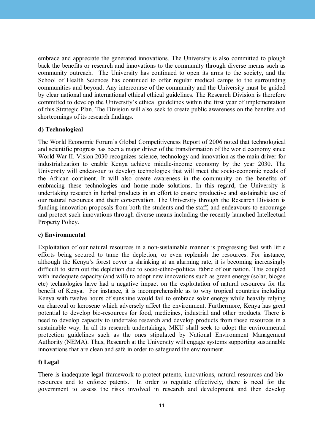embrace and appreciate the generated innovations. The University is also committed to plough back the benefits or research and innovations to the community through diverse means such as community outreach. The University has continued to open its arms to the society, and the School of Health Sciences has continued to offer regular medical camps to the surrounding communities and beyond. Any intercourse of the community and the University must be guided by clear national and international ethical ethical guidelines. The Research Division is therefore committed to develop the University's ethical guidelines within the first year of implementation of this Strategic Plan. The Division will also seek to create public awareness on the benefits and shortcomings of its research findings.

#### d) Technological

The World Economic Forum's Global Competitiveness Report of 2006 noted that technological and scientific progress has been a major driver of the transformation of the world economy since World War II. Vision 2030 recognizes science, technology and innovation as the main driver for industrialization to enable Kenya achieve middle-income economy by the year 2030. The University will endeavour to develop technologies that will meet the socio-economic needs of the African continent. It will also create awareness in the community on the benefits of embracing these technologies and home-made solutions. In this regard, the University is undertaking research in herbal products in an effort to ensure productive and sustainable use of our natural resources and their conservation. The University through the Research Division is funding innovation proposals from both the students and the staff, and endeavours to encourage and protect such innovations through diverse means including the recently launched Intellectual Property Policy.

#### **e) environmental**

Exploitation of our natural resources in a non-sustainable manner is progressing fast with little efforts being secured to tame the depletion, or even replenish the resources. For instance, although the Kenya's forest cover is shrinking at an alarming rate, it is becoming increasingly difficult to stem out the depletion due to socio-ethno-political fabric of our nation. This coupled with inadequate capacity (and will) to adopt new innovations such as green energy (solar, biogas etc) technologies have had a negative impact on the exploitation of natural resources for the benefit of Kenya. For instance, it is incomprehensible as to why tropical countries including Kenya with twelve hours of sunshine would fail to embrace solar energy while heavily relying on charcoal or kerosene which adversely affect the environment. Furthermore, Kenya has great potential to develop bio-resources for food, medicines, industrial and other products. There is need to develop capacity to undertake research and develop products from these resources in a sustainable way. In all its research undertakings, MKU shall seek to adopt the environmental protection guidelines such as the ones stipulated by National Environment Management Authority (NEMA). Thus, Research at the University will engage systems supporting sustainable innovations that are clean and safe in order to safeguard the environment.

#### **f) Legal**

There is inadequate legal framework to protect patents, innovations, natural resources and bioresources and to enforce patents. In order to regulate effectively, there is need for the government to assess the risks involved in research and development and then develop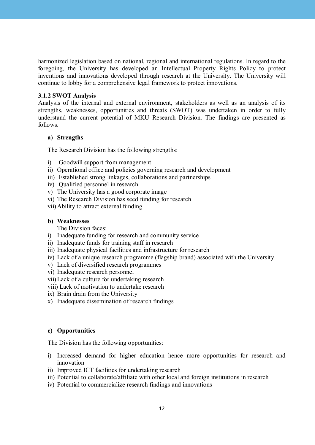harmonized legislation based on national, regional and international regulations. In regard to the foregoing, the University has developed an Intellectual Property Rights Policy to protect inventions and innovations developed through research at the University. The University will continue to lobby for a comprehensive legal framework to protect innovations.

#### **3.1.2 sWot analysis**

Analysis of the internal and external environment, stakeholders as well as an analysis of its strengths, weaknesses, opportunities and threats (SWOT) was undertaken in order to fully understand the current potential of MKU Research Division. The findings are presented as follows.

#### **a) strengths**

The Research Division has the following strengths:

- i) Goodwill support from management
- ii) Operational office and policies governing research and development
- iii) Established strong linkages, collaborations and partnerships
- iv) Qualified personnel in research
- v) The University has a good corporate image
- vi) The Research Division has seed funding for research
- vii) Ability to attract external funding

#### **b) Weaknesses**

The Division faces:

- i) Inadequate funding for research and community service
- ii) Inadequate funds for training staff in research
- iii) Inadequate physical facilities and infrastructure for research
- iv) Lack of a unique research programme (flagship brand) associated with the University
- v) Lack of diversified research programmes
- vi) Inadequate research personnel
- vii)Lack of a culture for undertaking research
- viii) Lack of motivation to undertake research
- ix) Brain drain from the University
- x) Inadequate dissemination of research findings

#### **c) opportunities**

The Division has the following opportunities:

- i) Increased demand for higher education hence more opportunities for research and innovation
- ii) Improved ICT facilities for undertaking research
- iii) Potential to collaborate/affiliate with other local and foreign institutions in research
- iv) Potential to commercialize research findings and innovations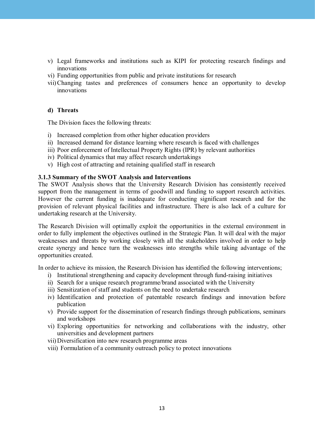- v) Legal frameworks and institutions such as KIPI for protecting research findings and innovations
- vi) Funding opportunities from public and private institutions for research
- vii)Changing tastes and preferences of consumers hence an opportunity to develop innovations

#### **d) threats**

The Division faces the following threats:

- i) Increased completion from other higher education providers
- ii) Increased demand for distance learning where research is faced with challenges
- iii) Poor enforcement of Intellectual Property Rights (IPR) by relevant authorities
- iv) Political dynamics that may affect research undertakings
- v) High cost of attracting and retaining qualified staff in research

#### **3.1.3 summary of the sWot analysis and interventions**

The SWOT Analysis shows that the University Research Division has consistently received support from the management in terms of goodwill and funding to support research activities. However the current funding is inadequate for conducting significant research and for the provision of relevant physical facilities and infrastructure. There is also lack of a culture for undertaking research at the University.

The Research Division will optimally exploit the opportunities in the external environment in order to fully implement the objectives outlined in the Strategic Plan. It will deal with the major weaknesses and threats by working closely with all the stakeholders involved in order to help create synergy and hence turn the weaknesses into strengths while taking advantage of the opportunities created.

In order to achieve its mission, the Research Division has identified the following interventions;

- i) Institutional strengthening and capacity development through fund-raising initiatives
- ii) Search for a unique research programme/brand associated with the University
- iii) Sensitization of staff and students on the need to undertake research
- iv) Identification and protection of patentable research findings and innovation before publication
- v) Provide support for the dissemination of research findings through publications, seminars and workshops
- vi) Exploring opportunities for networking and collaborations with the industry, other universities and development partners
- vii) Diversification into new research programme areas
- viii) Formulation of a community outreach policy to protect innovations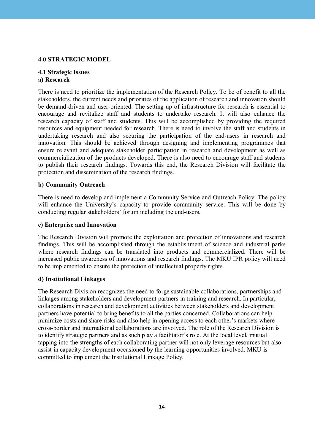#### **4.0 strateGiC MoDeL**

#### **4.1 strategic issues** a) Research

There is need to prioritize the implementation of the Research Policy. To be of benefit to all the stakeholders, the current needs and priorities of the application of research and innovation should be demand-driven and user-oriented. The setting up of infrastructure for research is essential to encourage and revitalize staff and students to undertake research. It will also enhance the research capacity of staff and students. This will be accomplished by providing the required resources and equipment needed for research. There is need to involve the staff and students in undertaking research and also securing the participation of the end-users in research and innovation. This should be achieved through designing and implementing programmes that ensure relevant and adequate stakeholder participation in research and development as well as commercialization of the products developed. There is also need to encourage staff and students to publish their research findings. Towards this end, the Research Division will facilitate the protection and dissemination of the research findings.

#### **b) Community Outreach**

There is need to develop and implement a Community Service and Outreach Policy. The policy will enhance the University's capacity to provide community service. This will be done by conducting regular stakeholders' forum including the end-users.

#### **c) enterprise and innovation**

The Research Division will promote the exploitation and protection of innovations and research findings. This will be accomplished through the establishment of science and industrial parks where research findings can be translated into products and commercialized. There will be increased public awareness of innovations and research findings. The MKU IPR policy will need to be implemented to ensure the protection of intellectual property rights.

#### **d) institutional Linkages**

The Research Division recognizes the need to forge sustainable collaborations, partnerships and linkages among stakeholders and development partners in training and research. In particular, collaborations in research and development activities between stakeholders and development partners have potential to bring benefits to all the parties concerned. Collaborations can help minimize costs and share risks and also help in opening access to each other's markets where cross-border and international collaborations are involved. The role of the Research Division is to identify strategic partners and as such play a facilitator's role. At the local level, mutual tapping into the strengths of each collaborating partner will not only leverage resources but also assist in capacity development occasioned by the learning opportunities involved. MKU is committed to implement the Institutional Linkage Policy.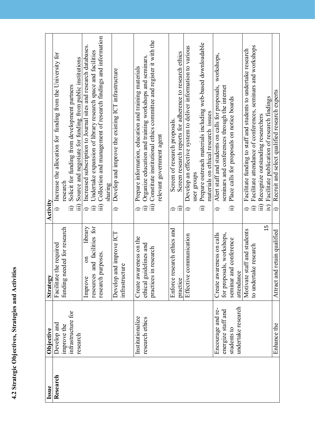| <b>Contact Contact Contact Contact Contact Contact Contact Contact Contact Contact Contact Contact Contact Contact Contact Contact Contact Contact Contact Contact Contact Contact Contact Contact Contact Contact Contact Conta</b> |
|--------------------------------------------------------------------------------------------------------------------------------------------------------------------------------------------------------------------------------------|
| i                                                                                                                                                                                                                                    |
| )<br>l                                                                                                                                                                                                                               |
| ì<br>i                                                                                                                                                                                                                               |
| )<br>S                                                                                                                                                                                                                               |
|                                                                                                                                                                                                                                      |

| Issue    | Objective          | Strategy                             | Activity                                                                                 |
|----------|--------------------|--------------------------------------|------------------------------------------------------------------------------------------|
| Research | Develop and        | Facilitate the required              | Increase the allocation for funding from the University for                              |
|          | improve the        | funding needed for research          | research                                                                                 |
|          | infrastructure for |                                      | Solicit for funding from development partners                                            |
|          | research           |                                      | Source and negotiate for funding from public institutions<br>iii)                        |
|          |                    | library<br>$\overline{c}$<br>Improve | Increased subscription to Journal sites and research databases.                          |
|          |                    | and facilities for<br>resources      | Undertake expansion of library research space and facilities                             |
|          |                    | research purposes.                   | Collection and management of research findings and information<br>$\hat{m}$              |
|          |                    |                                      | sharing                                                                                  |
|          |                    | Develop and improve ICT              | Develop and improve the existing ICT infrastructure<br>$\hat{=}$                         |
|          |                    | infrastructure                       |                                                                                          |
|          | Institutionalize   | Create awareness on the              | Prepare information, education and training materials                                    |
|          | research ethics    | ethical guidelines and               | Organize education and training workshops and seminars                                   |
|          |                    | practices in research                | iii) Constitute institutional ethics committee and register it with the                  |
|          |                    |                                      | relevant government agent                                                                |
|          |                    | Enforce research ethics and          | Screen of research proposals.                                                            |
|          |                    | practice                             | Screen research reports for adherence to research ethics<br>£                            |
|          |                    | Effective communication              | Develop an effective system to deliver information to various<br>$\widehat{\phantom{a}}$ |
|          |                    |                                      | user groups                                                                              |
|          |                    |                                      | Prepare outreach materials including web-based downloadable<br>$\widehat{\Xi}$           |
|          |                    |                                      | materials on ethical research issues                                                     |
|          | Encourage and re-  | Create awareness on calls            | workshops,<br>Alert staff and students on calls for proposals,<br>≘                      |
|          | energize staff and | for proposals, workshops,            | seminars and conferences through the internet                                            |
|          | students to        | seminar and conference               | Place calls for proposals on notice boards<br>$\widehat{\Xi}$                            |
|          | undertake research | attendance                           |                                                                                          |
|          |                    | Motivate staff and students          | Facilitate funding to staff and students to undertake research                           |
|          |                    | to undertake research                | Facilitate attendance of conferences, seminars and workshops                             |
|          |                    |                                      | iii) Recognize outstanding researchers                                                   |
|          |                    | 15                                   | Facilitate publication of research findings<br>$\widetilde{N}$                           |
|          | Enhance the        | retain qualified<br>Attract and      | Recruit and select qualified research experts<br>$\hat{=}$                               |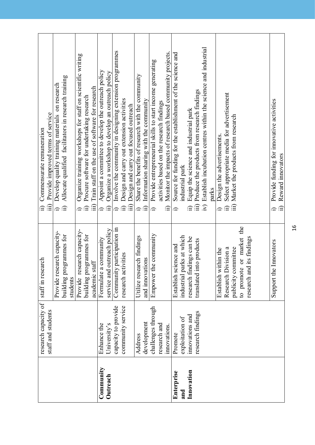| Community<br>Innovation<br>Enterprise<br>Outreach<br>and | research capacity of<br>capacity to provide<br>community service<br>challenges through<br>staff and students<br>research findings<br>innovations and<br>exploitation of<br>development<br>research and<br>University's<br>Enhance the<br>inno vations.<br>Promote<br>Address | to promote or market the<br>Community participation in<br>service and outreach policy<br>Provide research capacity-<br>Provide research capacity-<br>the community<br>building programmes for<br>building programmes for<br>oarks at which<br>Utilize research findings<br>research findings can be<br>nd its findings<br>a community<br>into products<br>Establish science and<br>Research Division a<br>publicity committee<br>Establish within the<br>research activities<br>staff in research<br>and innovations<br>academic staff<br>Formulate<br>research a<br>Empower<br>industrial<br>translated<br>students | Establish incubation centres within the science and industrial<br>Involve the community in designing extension programmes<br>Monitor the impacts of research based community projects<br>Source for funding for the establishment of the science and<br>Organize training workshops for staff on scientific writing<br>Provide entrepreneurial skills to start income generating<br>Appoint a committee to develop the outreach policy<br>Organize a workshop to develop an outreach policy<br>Share the benefits of research with the community<br>Allocate qualified facilitators in research training<br>Develop quality training materials on research<br>Train staff on the use of software for research<br>Produce the products from research findings<br>Select appropriate media for advertisement<br>Procure software for undertaking research<br>Design and carry out extension activities<br>Information sharing with the community<br>activities based on the research findings<br>Design and carry out focused outreach<br>Equip the science and industrial park<br>Provide improved terms of service<br>Market the products from research<br>Commensurate remuneration<br>Design the advertisements.<br>industrial park<br>parks<br>$\widehat{m}$<br>$\widehat{m}$<br>$\widehat{H}$<br>$\widehat{H}$<br>$\overline{N}$<br>iii)<br>$\widehat{=}$<br>$\widehat{\mathbb{H}}$<br>$\widehat{\mathbb{H}}$<br>$\hat{=}$<br>∂<br>$\widehat{\mathbf{u}}$ |
|----------------------------------------------------------|------------------------------------------------------------------------------------------------------------------------------------------------------------------------------------------------------------------------------------------------------------------------------|----------------------------------------------------------------------------------------------------------------------------------------------------------------------------------------------------------------------------------------------------------------------------------------------------------------------------------------------------------------------------------------------------------------------------------------------------------------------------------------------------------------------------------------------------------------------------------------------------------------------|---------------------------------------------------------------------------------------------------------------------------------------------------------------------------------------------------------------------------------------------------------------------------------------------------------------------------------------------------------------------------------------------------------------------------------------------------------------------------------------------------------------------------------------------------------------------------------------------------------------------------------------------------------------------------------------------------------------------------------------------------------------------------------------------------------------------------------------------------------------------------------------------------------------------------------------------------------------------------------------------------------------------------------------------------------------------------------------------------------------------------------------------------------------------------------------------------------------------------------------------------------------------------------------------------------------------------------------------------------------------------------------------------------------------------------------------------------------|
|                                                          |                                                                                                                                                                                                                                                                              | Support the Innovators                                                                                                                                                                                                                                                                                                                                                                                                                                                                                                                                                                                               | Provide funding for innovative activities<br>Reward innovators<br>$\widehat{\mathbb{E}}$<br>≘                                                                                                                                                                                                                                                                                                                                                                                                                                                                                                                                                                                                                                                                                                                                                                                                                                                                                                                                                                                                                                                                                                                                                                                                                                                                                                                                                                 |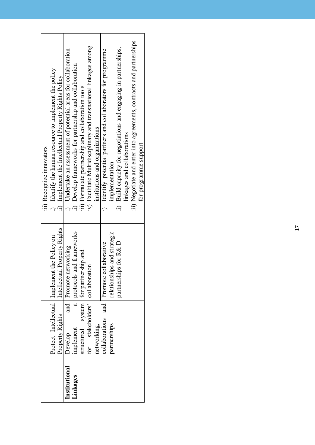|               |                                       |                                                | iii) Recognize innovators                                            |
|---------------|---------------------------------------|------------------------------------------------|----------------------------------------------------------------------|
|               |                                       | Protect Intellectual   Implement the Policy on | i) Identify the human resource to implement the policy               |
|               | Property Rights                       | Intellectual Property Rights                   | ii) Implement the Intellectual Property Rights Policy                |
| Institutional | Develop                               | and Promote networking                         | i) Undertake an assessment of potential areas for collaboration      |
| Linkages      | implement                             | a   protocols and frameworks                   | ii) Develop frameworks for partnership and collaboration             |
|               | structured system for partnership and |                                                | iii) Formulate partnership and collaboration tools                   |
|               | for stakeholders' collaboration       |                                                | iv) Facilitate Multidisciplinary and transnational linkages among    |
|               | networking,                           |                                                | institutions and organizations                                       |
|               | collaborations and                    | Promote collaborative                          | i) Identify potential partners and collaborators for programme       |
|               | partnerships                          | relationships and strategic                    | implementation                                                       |
|               |                                       | partnerships for R&D                           | ii) Build capacity for negotiations and engaging in partnerships,    |
|               |                                       |                                                | linkages and collaborations                                          |
|               |                                       |                                                | iii) Negotiate and enter into agreements, contracts and partnerships |
|               |                                       |                                                | for programme support                                                |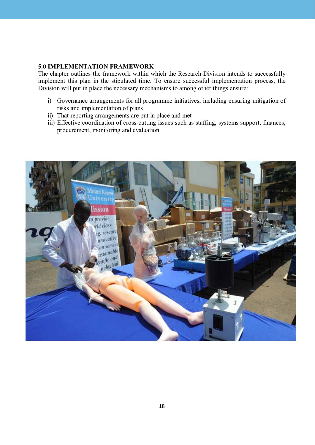#### **5.0 iMPLeMentation FraMeWorK**

The chapter outlines the framework within which the Research Division intends to successfully implement this plan in the stipulated time. To ensure successful implementation process, the Division will put in place the necessary mechanisms to among other things ensure:

- i) Governance arrangements for all programme initiatives, including ensuring mitigation of risks and implementation of plans
- ii) That reporting arrangements are put in place and met
- iii) Effective coordination of cross-cutting issues such as staffing, systems support, finances, procurement, monitoring and evaluation

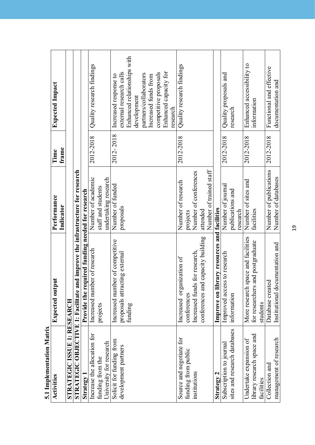| vi mihamemannu ivi           |                                                                               |                         |           |                                                        |
|------------------------------|-------------------------------------------------------------------------------|-------------------------|-----------|--------------------------------------------------------|
| <b>Activities</b>            | <b>Expected output</b>                                                        | Performance             | Time      | <b>Expected Impact</b>                                 |
|                              |                                                                               | Indicator               | frame     |                                                        |
| STRATEGIC ISSUE 1: RESEARCH  |                                                                               |                         |           |                                                        |
|                              | STRATEGIC OBJECTIVE 1: Facilitate and improve the infrastructure for research |                         |           |                                                        |
| Strategy 1                   | Provide the required funding needed for research                              |                         |           |                                                        |
| Increase the allocation for  | Increased number of research                                                  | Number of academic      | 2012-2018 | Quality research findings                              |
| funding from the             | projects                                                                      | staff and students      |           |                                                        |
| University for research      |                                                                               | undertaking research    |           |                                                        |
| Solicit for funding from     | Increased number of competitive                                               | Number of funded        | 2012-2018 | Increased response to                                  |
| development partners         | proposals attracting external<br>funding                                      | proposals               |           | Enhanced relationships with<br>external research calls |
|                              |                                                                               |                         |           | development                                            |
|                              |                                                                               |                         |           | partners/collaborators                                 |
|                              |                                                                               |                         |           | Increased funds from                                   |
|                              |                                                                               |                         |           | competitive proposals                                  |
|                              |                                                                               |                         |           | Enhanced capacity for<br>research                      |
| Source and negotiate for     | organization of<br>Increased                                                  | Number of research      | 2012-2018 | Quality research findings                              |
| funding from public          | conferences                                                                   | projects                |           |                                                        |
| institutions                 | Increased funds for research,                                                 | Number of conferences   |           |                                                        |
|                              | nd capacity building<br>conferences are                                       | attended                |           |                                                        |
|                              |                                                                               | Number of trained staff |           |                                                        |
| Strategy 2                   | Improve on library resources and facilities                                   |                         |           |                                                        |
| Subscription to journal      | Improved access to research                                                   | Number of journal       | 2012-2018 | Quality proposals and                                  |
| sites and research databases | information                                                                   | publications and        |           | research                                               |
|                              |                                                                               | research                |           |                                                        |
| Undertake expansion of       | space and facilities<br>More research                                         | Number of sites and     | 2012-2018 | Enhanced accessibility to                              |
| library research space and   | for researchers and postgraduate                                              | facilities              |           | information                                            |
| facilities                   | students                                                                      |                         |           |                                                        |
| Collection and               | ted<br>Database creat                                                         | Number of publications  | 2012-2018 | Functional and effective                               |
| management of research       | Institutional documentation and                                               | Number of databases     |           | documentation and                                      |

5.1 Inplementation Matrix **5.1 implementation Matrix** 19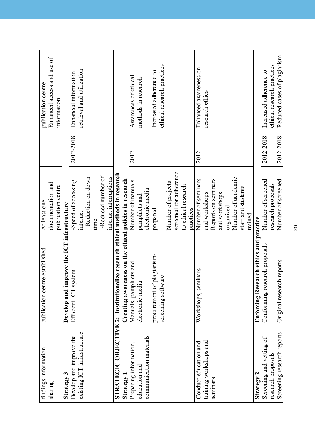| findings information        | publication centre established                                               | At least one                               |           | publication centre          |
|-----------------------------|------------------------------------------------------------------------------|--------------------------------------------|-----------|-----------------------------|
| sharing                     |                                                                              | documentation and                          |           | Enhanced access and use of  |
|                             |                                                                              | publication centre                         |           | information                 |
| Strategy 3                  | Develop and improve the ICT infrastructure                                   |                                            |           |                             |
| Develop and improve the     | Efficient ICT system                                                         | -Speed of accessing                        | 2012-2018 | Enhanced information        |
| existing ICT infrastructure |                                                                              | internet                                   |           | retrieval and utilization   |
|                             |                                                                              | - Reduction on down                        |           |                             |
|                             |                                                                              | time                                       |           |                             |
|                             |                                                                              | -Reduced number of                         |           |                             |
|                             |                                                                              | internet interruptions                     |           |                             |
|                             | STRATEGIC OBJECTIVE 2: Institutionalize research ethical methods in research |                                            |           |                             |
| Strategy 1                  | Creating awar                                                                | reness on the ethical policies in research |           |                             |
| Preparing information,      | Manuals, pamphlets and                                                       | Number of manuals                          | 2012      | Awareness of ethical        |
| education and               | electronic media                                                             | pamphlets and                              |           | methods in research         |
| communication materials     |                                                                              | electronic media                           |           |                             |
|                             | procurement of plagiarism-                                                   | prepared                                   |           | Increased adherence to      |
|                             | screening software                                                           |                                            |           | ethical research practices  |
|                             |                                                                              | Number of projects                         |           |                             |
|                             |                                                                              | screened for adherence                     |           |                             |
|                             |                                                                              | to ethical research                        |           |                             |
|                             |                                                                              | practices                                  |           |                             |
| Conduct education and       | Workshops, seminars                                                          | Number of seminars                         | 2012      | Enhanced awareness on       |
| training workshops and      |                                                                              | and workshops                              |           | research ethics             |
| seminars                    |                                                                              | Reports on seminars                        |           |                             |
|                             |                                                                              | and workshops                              |           |                             |
|                             |                                                                              | organized                                  |           |                             |
|                             |                                                                              | Number of academic                         |           |                             |
|                             |                                                                              | staff and students                         |           |                             |
|                             |                                                                              | trained                                    |           |                             |
| Strategy 2                  | Enforcing Research ethics and practice                                       |                                            |           |                             |
| Screening and vetting of    | Conforming research proposals                                                | Number of screened                         | 2012-2018 | Increased adherence to      |
| research proposals          |                                                                              | research proposals                         |           | ethical research practices  |
| Screening research reports  | Original research reports                                                    | Number of screened                         | 2012-2018 | Reduced cases of plagiarism |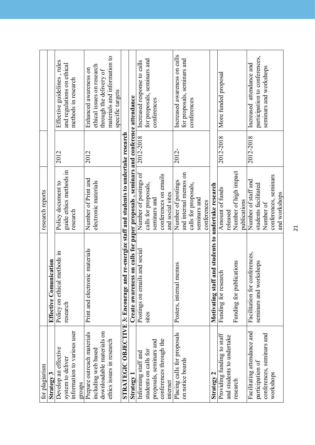| for plagiarism                                                                                              |                                                                                    | research reports                                          |           |                                                                                                                                    |
|-------------------------------------------------------------------------------------------------------------|------------------------------------------------------------------------------------|-----------------------------------------------------------|-----------|------------------------------------------------------------------------------------------------------------------------------------|
| <b>Strategy 3</b>                                                                                           | <b>Effective Comunication</b>                                                      |                                                           |           |                                                                                                                                    |
| information to various user<br>Develop an effective<br>system to deliver                                    | Policy on ethical methods in<br>research                                           | guide ethics methods in<br>Policy document to<br>research | 2012      | Effective guidelines, rules<br>and regulations on ethical<br>methods in research                                                   |
| groups                                                                                                      |                                                                                    |                                                           |           |                                                                                                                                    |
| downloadable materials on<br>Prepare outreach materials<br>ethics issues in research<br>including web based | Print and electronic materials                                                     | Number of Print and<br>electronic materials               | 2012      | materials and information to<br>ethical issues on research<br>Enhanced awareness on<br>through the delivery of<br>specific targets |
| STRATEGIC OBJECTIVE 3: Encourage                                                                            |                                                                                    | and re-energize staff and students to undertake research  |           |                                                                                                                                    |
| Strategy 1                                                                                                  | Create awareness on calls for paper proposals , seminars and conference attendance |                                                           |           |                                                                                                                                    |
| Informing staff and                                                                                         | Postings on emails and social                                                      | Number of postings of                                     | 2012-2018 | Increased response to calls                                                                                                        |
| students on calls for                                                                                       | sites                                                                              | calls for proposals,                                      |           | for proposals, seminars and                                                                                                        |
| proposals, seminars and                                                                                     |                                                                                    | seminars and                                              |           | conterences                                                                                                                        |
| conferences through the                                                                                     |                                                                                    | conferences on emails                                     |           |                                                                                                                                    |
| internet                                                                                                    |                                                                                    | and social sites                                          |           |                                                                                                                                    |
| Placing calls for proposals<br>on notice boards                                                             | Posters, internal memos                                                            | and internal memos on<br>Number of postings               | 2012-     | Increased awareness on calls<br>for proposals, seminars and                                                                        |
|                                                                                                             |                                                                                    | calls for proposals,                                      |           | conferences                                                                                                                        |
|                                                                                                             |                                                                                    | seminars and                                              |           |                                                                                                                                    |
|                                                                                                             |                                                                                    | conferences                                               |           |                                                                                                                                    |
| Strategy 2                                                                                                  | Motivating staff and students to undertake research                                |                                                           |           |                                                                                                                                    |
| Providing funding to staff                                                                                  | Funding for research                                                               | Amount of funds                                           | 2012-2018 | More funded proposal                                                                                                               |
| and students to undertake                                                                                   |                                                                                    | released                                                  |           |                                                                                                                                    |
| research                                                                                                    | Funding for publications                                                           | Number of high impact                                     |           |                                                                                                                                    |
|                                                                                                             |                                                                                    | publications                                              |           |                                                                                                                                    |
| Facilitating attendance and<br>participation of                                                             | Facilitation for conferences,<br>workshops<br>seminars and y                       | Number of staff and<br>students facilitated               | 2012-2018 | participation to conferences,<br>Increased attendance and                                                                          |
| conferences, seminars and                                                                                   |                                                                                    | Number of                                                 |           | seminars and workshops                                                                                                             |
| workshops                                                                                                   |                                                                                    | conferences, seminars                                     |           |                                                                                                                                    |
|                                                                                                             |                                                                                    | and workshops                                             |           |                                                                                                                                    |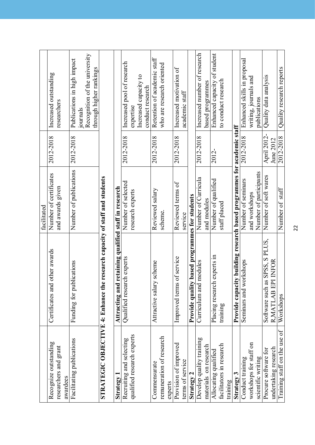|                                              |                                                                            | facilitated                                                |                          |                                                          |
|----------------------------------------------|----------------------------------------------------------------------------|------------------------------------------------------------|--------------------------|----------------------------------------------------------|
| Recognize outstanding                        | Certificates and other awards                                              | Number of certificates                                     | 2012-2018                | Increased outstanding                                    |
| researchers and grant<br>awardees            |                                                                            | and awards given                                           |                          | researchers                                              |
| Facilitating publications                    | Funding for publications                                                   | Number of publications                                     | 2012-2018                | Publications in high impact<br>journals                  |
|                                              |                                                                            |                                                            |                          | Recognition of the university<br>through higher rankings |
|                                              | STRATEGIC OBJECTIVE 4: Enhance the research capacity of staff and students |                                                            |                          |                                                          |
|                                              |                                                                            |                                                            |                          |                                                          |
| Strategy                                     | Attracting and retaining qualified staff in research                       |                                                            |                          |                                                          |
| Recruiting and selecting                     | Qualified research experts                                                 | Number of selected                                         | 2012-2018                | Increased pool of research                               |
| qualified research experts                   |                                                                            | research experts                                           |                          | expertise                                                |
|                                              |                                                                            |                                                            |                          | Increased capacity to<br>conduct research                |
| Commensurate                                 | Attractive salary scheme                                                   | Reviewed salary                                            | 2012-2018                | Retention of academic staff                              |
| remuneration of research                     |                                                                            | scheme.                                                    |                          | who are research oriented                                |
| experts                                      |                                                                            |                                                            |                          |                                                          |
| Provision of improved                        | Improved terms of service                                                  | Reviewed terms of                                          | 2012-2018                | Increased motivation of                                  |
| terms of service                             |                                                                            | service                                                    |                          | academic staff                                           |
| Strategy 2                                   | Provide quality based programmes for students                              |                                                            |                          |                                                          |
| Develop quality training                     | Curriculum and modules                                                     | Number of Curricula                                        | 2012-2018                | Increased number of research                             |
| materials on research                        |                                                                            | and modules                                                |                          | based programmes                                         |
| Allocating qualified                         | Placing research experts in                                                | Number of qualified                                        | 2012-                    | Enhanced capacity of student                             |
| facilitators in research                     | training                                                                   | staff placed                                               |                          | to conduct research                                      |
| training                                     |                                                                            |                                                            |                          |                                                          |
| Strategy 3                                   | Provide capa                                                               | city building research based programmes for academic staff |                          |                                                          |
| Conduct training                             | workshops<br>Seminars and                                                  | Number of seminars                                         | 2012-2018                | Enhanced skills in proposal                              |
| workshops for staff on                       |                                                                            | and workshops                                              |                          | writing, journals and                                    |
| scientific writing                           |                                                                            | Number of participants                                     |                          | publications                                             |
| undertaking research<br>Procure software for | as SPSS, S PLUS,<br>R, MATLAB EPI INFOR<br>Software such                   | Number of soft wares                                       | April 2012-<br>June 2012 | Quality data analysis                                    |
| Training staff on the use of                 | Workshops                                                                  | Number of staff                                            | 2012-2018                | Quality research reports                                 |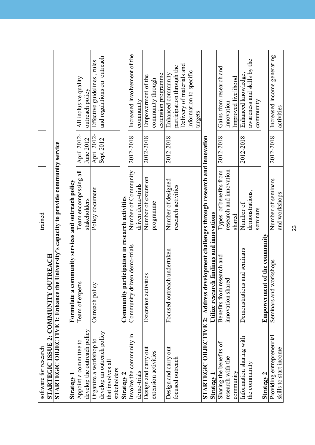| software for research                 |                                                                                       | trained                 |             |                              |
|---------------------------------------|---------------------------------------------------------------------------------------|-------------------------|-------------|------------------------------|
| STARTEGIC ISSUE 2: COMMUNITY OUTREACH |                                                                                       |                         |             |                              |
|                                       | STARTEGIC OBJECTIVE 1: Enhance the University's capacity to provide community service |                         |             |                              |
| <b>Strategy</b>                       | Formulate a community services and outreach policy                                    |                         |             |                              |
| Appoint a committee to                | Team of experts                                                                       | Team encompassing all   | April 2012- | All inclusive quality        |
| develop the outreach policy           |                                                                                       | stakeholders            | June 2012   | outreach policy              |
| Organize a workshop to                | Outreach policy                                                                       | Policy document         | April 2012- | Effective guidelines, rules  |
| develop an outreach policy            |                                                                                       |                         | Sept 2012   | and regulations on outreach  |
| that involves all                     |                                                                                       |                         |             |                              |
| stakeholders                          |                                                                                       |                         |             |                              |
| Strategy 2                            | Community participation in research activities                                        |                         |             |                              |
| Involve the community in              | Community driven demo-trials                                                          | Number of Community     | 2012-2018   | Increased involvement of the |
| demo-trials                           |                                                                                       | driven demo-trials      |             | community                    |
| Design and carry out                  | Extension activities                                                                  | Number of extension     | 2012-2018   | Empowerment of the           |
| extension activities                  |                                                                                       | programme               |             | community through            |
|                                       |                                                                                       |                         |             | extension programme          |
| Design and carry out                  | Focused outreach undertaken                                                           | Number of designed      | 2012-2018   | Enhanced community           |
| focused outreach                      |                                                                                       | research activities     |             | participation through the    |
|                                       |                                                                                       |                         |             | Delivery of materials and    |
|                                       |                                                                                       |                         |             | information to specific      |
|                                       |                                                                                       |                         |             | targets                      |
|                                       | STARTEGIC OBJECTIVE 2: Address development challenges through research and innovation |                         |             |                              |
| Strategy 1                            | Utilize research findings and innovations                                             |                         |             |                              |
| Sharing the benefits of               | Benefits from research and                                                            | Types of benefits from  | 2012-2018   | Gains from research and      |
| research with the                     | innovation shared                                                                     | research and innovation |             | innovation                   |
| community                             |                                                                                       | shared                  |             | Improved livelihood          |
| Information sharing with              | Demonstrations and seminars                                                           | Number of               | 2012-2018   | Enhanced knowledge           |
| the community                         |                                                                                       | demonstrations,         |             | awareness and skills by the  |
|                                       |                                                                                       | seminars                |             | community                    |
| Strategy 2                            | <b>Empowerment of the community</b>                                                   |                         |             |                              |
| Providing entrepreneurial             | workshops<br>Seminars and                                                             | Number of seminars      | 2012-2018   | Increased income generating  |
| skills to start income                |                                                                                       | and workshops           |             | activities                   |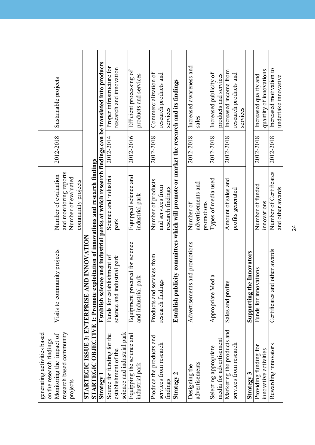|                                                         | Sustainable projects<br>2012-2018 |                          |                     |                    |                                        |                                                                                         | Establish science and industrial parks at which research findings can be translated into products | Proper infrastructure for<br>2012-2014 | research and innovation     |                             | Efficient processing of<br>2012-2016 | products and services  | Commercialization of<br>2012-2018 | research products and  | services          | Establish publicity committees which will promote or market the research and its findings | Increased awareness and<br>2012-2018 | sales                            | Increased publicity of<br>products and services<br>2012-2018 | Increased income from<br>2012-2018 | research products and  | services |                           | Increased quality and<br>2012-2018 | quantity of innovations | Increased motivation to<br>2012-2018 | undertake innovative |
|---------------------------------------------------------|-----------------------------------|--------------------------|---------------------|--------------------|----------------------------------------|-----------------------------------------------------------------------------------------|---------------------------------------------------------------------------------------------------|----------------------------------------|-----------------------------|-----------------------------|--------------------------------------|------------------------|-----------------------------------|------------------------|-------------------|-------------------------------------------------------------------------------------------|--------------------------------------|----------------------------------|--------------------------------------------------------------|------------------------------------|------------------------|----------|---------------------------|------------------------------------|-------------------------|--------------------------------------|----------------------|
|                                                         | Number of evaluation              | and monitoring reports.  | Number of evaluated | community projects |                                        |                                                                                         |                                                                                                   | Science and industrial                 | park                        |                             | Equipped science and                 | industrial park        | Number of products                | and services from      | research findings |                                                                                           | Number of                            | advertisements and<br>promotions | Types of media used                                          | Amount of sales and                | profits generated      |          |                           | Number of funded                   | innovations             | Number of Certificates               | and other awards     |
|                                                         | Visits to community projects      |                          |                     |                    | NONATION<br>INOVATION                  | <b>STARTEGIC OBJECTIVE 1: Promote exploitation of innovations and research findings</b> |                                                                                                   | Funds for establishment of             | science and industrial park |                             | Equipment procured for science       | park<br>and industrial | Products and services from        | igs<br>research findir |                   |                                                                                           | Advertisements and promotions        |                                  | <b>Iedia</b><br>Appropriate M                                | Sales and profits                  |                        |          | Supporting the Innovators | vations<br>Funds for inno          |                         | Certificates and other awards        |                      |
| generating activities based<br>on the research findings | Monitoring the impact of          | research based community | projects            |                    | <b>STARTEGIC ISSUE 3: ENTERPRISE A</b> |                                                                                         | Strategy 1                                                                                        | Source for funding for the             | establishment of the        | science and industrial park | Equipping the science and            | industrial park        | Produce the products and          | services from research | findings          | Strategy 2                                                                                | Designing the                        | advertisements                   | media for advertisement<br>Selecting appropriate             | Marketing the products and         | services from research |          | Strategy 3                | Providing funding for              | innovative activities   | Rewarding innovators                 |                      |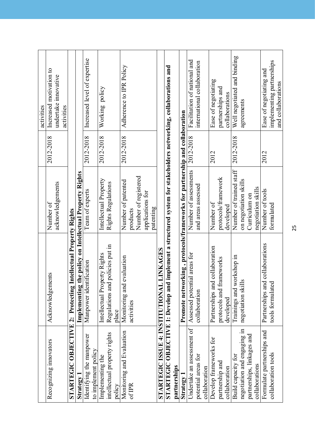| Recognizing innovators                 |                                                                                                                  |                                            |           | activities                                      |
|----------------------------------------|------------------------------------------------------------------------------------------------------------------|--------------------------------------------|-----------|-------------------------------------------------|
|                                        | Acknowledgements                                                                                                 | Number of                                  | 2012-2018 | Increased motivation to                         |
|                                        |                                                                                                                  | acknowledgements                           |           | undertake innovative<br>activities              |
|                                        | <b>STARTEGIC OBJECTIVE 2: Protecting Intellectual Property Rights</b>                                            |                                            |           |                                                 |
| Strategy                               | Implementing                                                                                                     | the policy on Intellectual Property Rights |           |                                                 |
| Identifying the manpower               | Manpower identification                                                                                          | Team of experts                            | 2012-2018 | Increased level of expertise                    |
| to implement policy                    |                                                                                                                  |                                            |           |                                                 |
| Implementing the                       | Intellectual Property Rights                                                                                     | Intellectual Property                      | 2012-2018 | Working policy                                  |
| intellectual property rights<br>policy | d policies put in<br>Regulations an<br>place                                                                     | Rights Regulations                         |           |                                                 |
| Monitoring and Evaluation              | Monitoring and evaluation                                                                                        | Number of patented                         | 2012-2018 | Adherence to IPR Policy                         |
| of IPR                                 | activities                                                                                                       | products                                   |           |                                                 |
|                                        |                                                                                                                  | Number of registered                       |           |                                                 |
|                                        |                                                                                                                  | applications for                           |           |                                                 |
|                                        |                                                                                                                  | patenting                                  |           |                                                 |
| STARTEGIC ISSUE 4: INSTITUTIONAL       | <b>L LINKAGES</b>                                                                                                |                                            |           |                                                 |
|                                        | STARTEGIC OBJECTIVE 1: Develop and implement a structured system for stakeholders networking, collaborations and |                                            |           |                                                 |
| partnerships                           |                                                                                                                  |                                            |           |                                                 |
| Strategy 1                             | Promote networking, protocols/frameworks for partnership and collaboration                                       |                                            |           |                                                 |
| Undertake an assessment of             | Assessed potential areas for                                                                                     | Number of assessments                      | 2012-2018 | Facilitation of national and                    |
| potential areas for                    | collaboration                                                                                                    | and areas assessed                         |           | international collaboration                     |
| collaboration                          |                                                                                                                  |                                            |           |                                                 |
| Develop frameworks for                 | nd collaboration<br>Partnerships an                                                                              | Number of                                  | 2012      | Ease of negotiating                             |
| partnership and                        | protocols and frameworks                                                                                         | protocols/framework                        |           | partnerships and                                |
| collaboration                          | developed                                                                                                        | developed                                  |           | collaborations                                  |
| Build capacity for                     | Trainings and workshop in                                                                                        | Number of trained staff                    | 2012-2018 | Well negotiated and binding                     |
| negotiation and engaging in            | negotiation skills                                                                                               | on negotiation skills                      |           | agreements                                      |
| partnerships, linkages and             |                                                                                                                  | Curriculum on                              |           |                                                 |
| collaborations                         |                                                                                                                  | negotiation skills                         |           |                                                 |
| Formulate partnerships and             | Partnerships and collaborations                                                                                  | Number of tools                            | 2012      | Ease of negotiating and                         |
| collaboration tools                    | tools formulated                                                                                                 | formulated                                 |           | implementing partnerships<br>and collaborations |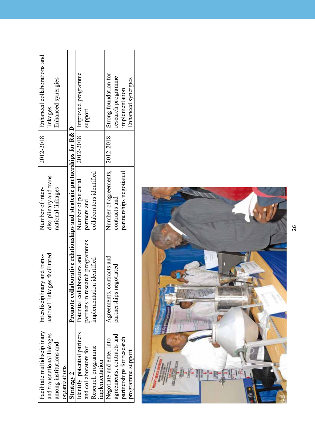| Facilitate multidisciplinary | Interdisciplinary and trans-                                            | Number of inter-         | 2012-2018 | Enhanced collaborations and |
|------------------------------|-------------------------------------------------------------------------|--------------------------|-----------|-----------------------------|
| and transnational linkages   | national linkages facilitated                                           | disciplinary and trans-  |           | linkages                    |
| among institutions and       |                                                                         | national linkages        |           | Enhanced synergies          |
| organizations                |                                                                         |                          |           |                             |
| Strategy 2                   | Promote collaborative relationships and strategic partnerships for R& D |                          |           |                             |
| Identify potential partners  | Potential collaborators and                                             | Number of potential      | 2012-2018 | Improved programme          |
| and collaborators for        | partners in research programmes                                         | partners and             |           | support                     |
| Research programme           | implementation identified                                               | collaborators identified |           |                             |
| implementation               |                                                                         |                          |           |                             |
| Negotiate and enter into     | Agreements, contracts and                                               | Number of agreements,    | 2012-2018 | Strong foundation for       |
| agreements, contracts and    | partnerships negotiated                                                 | contracts and            |           | research programme          |
| partnerships for research    |                                                                         | partnerships negotiated  |           | implementation              |
| programme support            |                                                                         |                          |           | Enhanced synergies          |
|                              |                                                                         |                          |           |                             |



26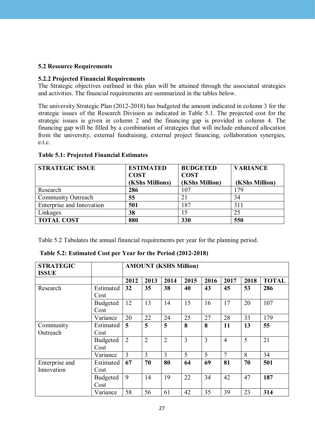#### **5.2 Resource Requirements**

#### **5.2.2 Projected Financial Requirements**

The Strategic objectives outlined in this plan will be attained through the associated strategies and activities. The financial requirements are summarized in the tables below.

The university Strategic Plan (2012-2018) has budgeted the amount indicated in column 3 for the strategic issues of the Research Division as indicated in Table 5.1. The projected cost for the strategic issues is given in column 2 and the financing gap is provided in column 4. The financing gap will be filled by a combination of strategies that will include enhanced allocation from the university, external fundraising, external project financing, collaboration synergies, e.t.c.

| <b>STRATEGIC ISSUE</b>    | <b>ESTIMATED</b><br><b>COST</b> | <b>BUDGETED</b><br><b>COST</b> | <b>VARIANCE</b> |
|---------------------------|---------------------------------|--------------------------------|-----------------|
|                           | (KShs Millions)                 | (KShs Million)                 | (KShs Million)  |
| Research                  | 286                             | 107                            | 179             |
| Community Outreach        | 55                              | 21                             | 34              |
| Enterprise and Innovation | 501                             | 187                            | 311             |
| Linkages                  | 38                              | 15                             | 25              |
| <b>TOTAL COST</b>         | 880                             | 330                            | 550             |

#### **table 5.1: Projected Financial estimates**

Table 5.2 Tabulates the annual financial requirements per year for the planning period.

| <b>STRATEGIC</b><br><b>ISSUE</b> |                 |                |                | <b>AMOUNT (KSHS Million)</b> |                |      |                |      |              |
|----------------------------------|-----------------|----------------|----------------|------------------------------|----------------|------|----------------|------|--------------|
|                                  |                 | 2012           | 2013           | 2014                         | 2015           | 2016 | 2017           | 2018 | <b>TOTAL</b> |
| Research                         | Estimated       | 32             | 35             | 38                           | 40             | 43   | 45             | 53   | 286          |
|                                  | Cost            |                |                |                              |                |      |                |      |              |
|                                  | <b>Budgeted</b> | 12             | 13             | 14                           | 15             | 16   | 17             | 20   | 107          |
|                                  | Cost            |                |                |                              |                |      |                |      |              |
|                                  | Variance        | 20             | 22             | 24                           | 25             | 27   | 28             | 33   | 179          |
| Community                        | Estimated       | 5              | 5              | 5                            | 8              | 8    | 11             | 13   | 55           |
| Outreach                         | Cost            |                |                |                              |                |      |                |      |              |
|                                  | Budgeted        | $\overline{2}$ | $\overline{2}$ | $\overline{2}$               | $\overline{3}$ | 3    | $\overline{4}$ | 5    | 21           |
|                                  | Cost            |                |                |                              |                |      |                |      |              |
|                                  | Variance        | $\overline{3}$ | $\overline{3}$ | 3                            | 5              | 5    | $\overline{7}$ | 8    | 34           |
| Enterprise and                   | Estimated       | 67             | 70             | 80                           | 64             | 69   | 81             | 70   | 501          |
| Innovation                       | Cost            |                |                |                              |                |      |                |      |              |
|                                  | <b>Budgeted</b> | 9              | 14             | 19                           | 22             | 34   | 42             | 47   | 187          |
|                                  | Cost            |                |                |                              |                |      |                |      |              |
|                                  | Variance        | 58             | 56             | 61                           | 42             | 35   | 39             | 23   | 314          |

**table 5.2: estimated Cost per year for the Period (2012-2018)**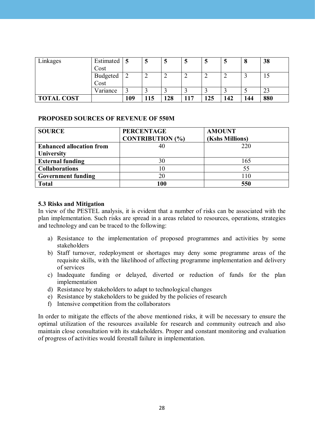| Linkages          | Estimated |     | N  | Э   | J   | ມ   | J   | O   | 38  |
|-------------------|-----------|-----|----|-----|-----|-----|-----|-----|-----|
|                   | Cost      |     |    |     |     |     |     |     |     |
|                   | Budgeted  |     | ∸  | ∠   | ∠   |     |     |     | IJ  |
|                   | Cost      |     |    |     |     |     |     |     |     |
|                   | Variance  |     |    |     |     |     |     |     | 23  |
| <b>TOTAL COST</b> |           | 109 | 15 | 128 | 117 | 125 | 142 | 144 | 880 |

#### **ProPoseD sourCes oF revenue oF 550M**

| <b>SOURCE</b>                   | <b>PERCENTAGE</b>       | <b>AMOUNT</b>   |
|---------------------------------|-------------------------|-----------------|
|                                 | <b>CONTRIBUTION (%)</b> | (Kshs Millions) |
| <b>Enhanced allocation from</b> |                         | 220             |
| <b>University</b>               |                         |                 |
| <b>External funding</b>         | 30                      | 165             |
| <b>Collaborations</b>           |                         | 55              |
| <b>Government funding</b>       | 20                      | 110             |
| <b>Total</b>                    |                         | 550             |

#### **5.3 Risks and Mitigation**

In view of the PESTEL analysis, it is evident that a number of risks can be associated with the plan implementation. Such risks are spread in a areas related to resources, operations, strategies and technology and can be traced to the following:

- a) Resistance to the implementation of proposed programmes and activities by some stakeholders
- b) Staff turnover, redeployment or shortages may deny some programme areas of the requisite skills, with the likelihood of affecting programme implementation and delivery of services
- c) Inadequate funding or delayed, diverted or reduction of funds for the plan implementation
- d) Resistance by stakeholders to adapt to technological changes
- e) Resistance by stakeholders to be guided by the policies of research
- f) Intensive competition from the collaborators

In order to mitigate the effects of the above mentioned risks, it will be necessary to ensure the optimal utilization of the resources available for research and community outreach and also maintain close consultation with its stakeholders. Proper and constant monitoring and evaluation of progress of activities would forestall failure in implementation.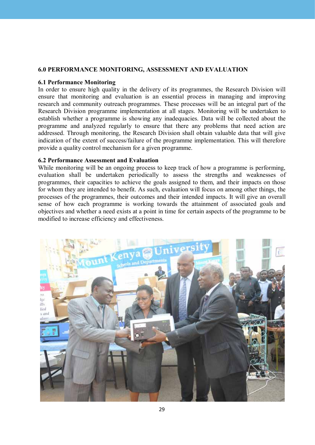#### **6.0 PerForManCe MonitorinG, assessMent anD evaLuation**

#### **6.1 Performance Monitoring**

In order to ensure high quality in the delivery of its programmes, the Research Division will ensure that monitoring and evaluation is an essential process in managing and improving research and community outreach programmes. These processes will be an integral part of the Research Division programme implementation at all stages. Monitoring will be undertaken to establish whether a programme is showing any inadequacies. Data will be collected about the programme and analyzed regularly to ensure that there any problems that need action are addressed. Through monitoring, the Research Division shall obtain valuable data that will give indication of the extent of success/failure of the programme implementation. This will therefore provide a quality control mechanism for a given programme.

#### **6.2 Performance Assessment and Evaluation**

While monitoring will be an ongoing process to keep track of how a programme is performing. evaluation shall be undertaken periodically to assess the strengths and weaknesses of programmes, their capacities to achieve the goals assigned to them, and their impacts on those for whom they are intended to benefit. As such, evaluation will focus on among other things, the processes of the programmes, their outcomes and their intended impacts. It will give an overall sense of how each programme is working towards the attainment of associated goals and objectives and whether a need exists at a point in time for certain aspects of the programme to be modified to increase efficiency and effectiveness.

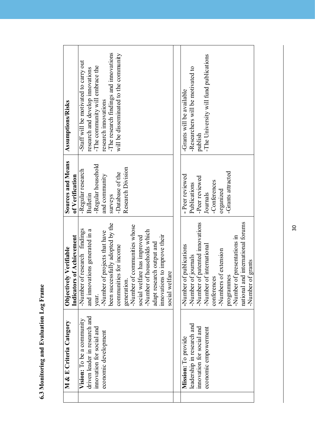| M & E Criteria Category       | Objectively Verifiable            | Sources and Means  | <b>Assumptions/Risks</b>               |
|-------------------------------|-----------------------------------|--------------------|----------------------------------------|
|                               | Indicators of Achievement         | of Verification    |                                        |
| Vision: To be a community     | Number of research findings       | -Regular research  | -Staff will be motivated to carry out  |
| driven leader in research and | and innovations generated in a    | <b>Bulletin</b>    | research and develop innovations       |
| innovation for social and     | year.                             | -Regular household | -The community will embrace the        |
| economic development          | Number of projects that have      | and community      | research innovations                   |
|                               | been successfully adopted by the  | surveys            | -The research findings and innovations |
|                               | communities for income            | -Database of the   | will be disseminated to the community  |
|                               | generation                        | Research Division  |                                        |
|                               | -Number of communities whose      |                    |                                        |
|                               | social welfare has improved       |                    |                                        |
|                               | Number of households which        |                    |                                        |
|                               | adapt research output and         |                    |                                        |
|                               | innovations to improve their      |                    |                                        |
|                               | <b>Ifare</b><br>social wel        |                    |                                        |
|                               |                                   |                    |                                        |
| Mission: To provide           | of publications<br>-Number        | - Peer reviewed    | -Grants will be available              |
| leadership in research and    | Number of journals                | Publications       | -Researchers will be motivated to      |
| innovation for social and     | Number of patented innovations    | -Peer reviewed     | publish                                |
| economic empowerment          | Number of international           | Journals           | The University will fund publications  |
|                               | conferences                       | -Conferences       |                                        |
|                               | -Numbers of extension             | organized          |                                        |
|                               | programmes                        | -Grants attracted  |                                        |
|                               | Number of presentations in        |                    |                                        |
|                               | national and international forums |                    |                                        |
|                               | -Number of grants                 |                    |                                        |

6.3 Monitoring and Evaluation Log Frame **6.3 Monitoring and Evaluation Log Frame** 

30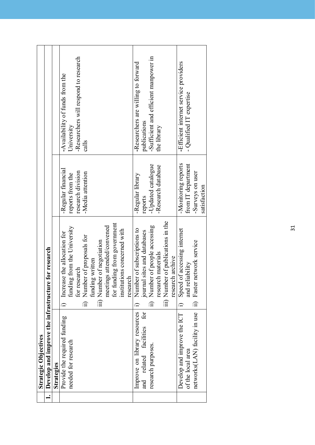| <b>Strategic Objectives</b>                         |                                    |                     |                                       |
|-----------------------------------------------------|------------------------------------|---------------------|---------------------------------------|
| Develop and improve the infrastructure for research |                                    |                     |                                       |
| Strategies                                          |                                    |                     |                                       |
| Provide the required funding                        | Increase the allocation for        | -Regular financial  | -Availability of funds from the       |
| needed for research                                 | g from the University<br>fundin    | reports from the    | University                            |
|                                                     | for research                       | research division   | -Researchers will respond to research |
|                                                     | ii) Number of proposals for        | -Media attention    | calls                                 |
|                                                     | funding written                    |                     |                                       |
|                                                     | iii) Number of negotiation         |                     |                                       |
|                                                     | meetings attended/convened         |                     |                                       |
|                                                     | for funding from government        |                     |                                       |
|                                                     | institutions concerned with        |                     |                                       |
|                                                     | research                           |                     |                                       |
| Improve on library resources                        | Number of subscriptions to         | -Regular library    | -Researchers are willing to forward   |
| related facilities for<br>and                       | journal sites and databases        | reports             | publications                          |
| research purposes.                                  | ii) Number of people accessing     | -Updated catalogue  | -Sufficient and efficient manpower in |
|                                                     | research materials                 | -Research database  | the library                           |
|                                                     | iii) Number of publications in the |                     |                                       |
|                                                     | research archive                   |                     |                                       |
| Develop and improve the ICT                         | i) Speed of accessing internet     | -Monitoring reports | -Efficient internet service providers |
| of the local area                                   | and reliability                    | from IT department  | - Qualified IT expertise              |
| networks(LAN) facility in use                       | ii) Faster network service         | -Surveys on user    |                                       |
|                                                     |                                    | satisfaction        |                                       |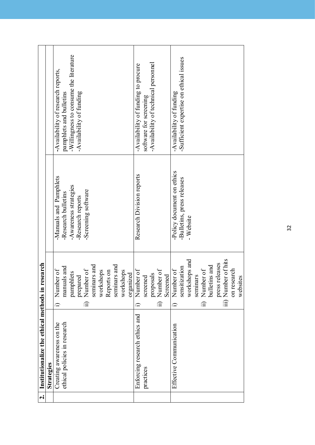| $\dot{\mathbf{c}}$ | Institutionalize the ethical methods in re                | esearch                               |                                               |                                                                    |
|--------------------|-----------------------------------------------------------|---------------------------------------|-----------------------------------------------|--------------------------------------------------------------------|
|                    | Strategies                                                |                                       |                                               |                                                                    |
|                    | ethical policies in research<br>Creating awareness on the | manuals and<br>Number of<br>$\hat{=}$ | -Manuals and Pamphlets<br>-Research bulletins | -Availability of research reports,<br>pamphlets and bulletins      |
|                    |                                                           | pamphlets                             | -Awareness strategies<br>-Research reports    | -Willingness to consume the literature<br>-Availability of funding |
|                    |                                                           | prepared<br>ii) Number of             | -Screening software                           |                                                                    |
|                    |                                                           | seminars and                          |                                               |                                                                    |
|                    |                                                           | workshops<br>Reports on               |                                               |                                                                    |
|                    |                                                           | seminars and                          |                                               |                                                                    |
|                    |                                                           | workshops                             |                                               |                                                                    |
|                    |                                                           | organized                             |                                               |                                                                    |
|                    | Enforcing research ethics and                             | Number of<br>≘                        | Research Division reports                     | -Availability of funding to procure                                |
|                    | practices                                                 | screened                              |                                               | software for screening                                             |
|                    |                                                           | proposals                             |                                               | -Availability of technical personnel                               |
|                    |                                                           | ii) Number of                         |                                               |                                                                    |
|                    |                                                           | Screened                              |                                               |                                                                    |
|                    | Effective Communication                                   | i) Number of                          | -Policy document on ethics                    | -Availability of funding                                           |
|                    |                                                           | sensitization                         | -Bulletins, press releases                    | -Sufficient expertise on ethical issues                            |
|                    |                                                           | workshops and                         | $-Website$                                    |                                                                    |
|                    |                                                           | seminars                              |                                               |                                                                    |
|                    |                                                           | ii) Number of                         |                                               |                                                                    |
|                    |                                                           | bulletins and                         |                                               |                                                                    |
|                    |                                                           | press releases                        |                                               |                                                                    |
|                    |                                                           | iii) Number of hits                   |                                               |                                                                    |
|                    |                                                           | on research                           |                                               |                                                                    |
|                    |                                                           | websites                              |                                               |                                                                    |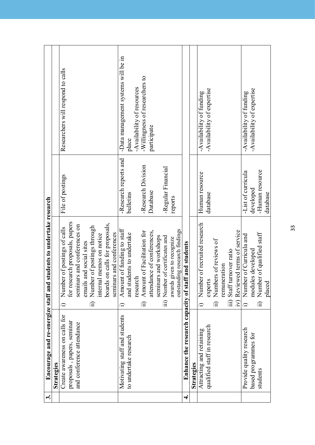| ట. | Encourage and re-energize staff and                 |                        | students to undertake research                             |                       |                                     |
|----|-----------------------------------------------------|------------------------|------------------------------------------------------------|-----------------------|-------------------------------------|
|    | Strategies                                          |                        |                                                            |                       |                                     |
|    | Create awareness on calls for                       |                        | Number of postings of calls                                | File of postings      | Researchers will respond to calls   |
|    | proposals, papers, seminar                          |                        | for research proposals, papers                             |                       |                                     |
|    | and conference attendance                           |                        | seminars and conferences on                                |                       |                                     |
|    |                                                     |                        | emails and social sites                                    |                       |                                     |
|    |                                                     | $\widehat{\mathbb{H}}$ | Number of postings through                                 |                       |                                     |
|    |                                                     |                        | internal memos on notice                                   |                       |                                     |
|    |                                                     |                        | boards on calls for proposals,                             |                       |                                     |
|    |                                                     |                        | seminars and conferences                                   |                       |                                     |
|    | Motivating staff and students                       |                        | Amount of funding to staff                                 | -Research reports and | -Data management systems will be in |
|    | to undertake research                               |                        | and students to undertake                                  | bulletins             | place                               |
|    |                                                     |                        | research                                                   |                       | -Availability of resources          |
|    |                                                     | $\widehat{\mathbb{H}}$ | Amount of Facilitation for                                 | -Research Division    | -Willingness of researchers to      |
|    |                                                     |                        | attendance of conferences,                                 | Database              | participate                         |
|    |                                                     |                        | seminars and workshops                                     |                       |                                     |
|    |                                                     |                        | iii) Number of certificates and                            | -Regular Financial    |                                     |
|    |                                                     |                        | outstanding research findings<br>awards given to recognize | reports               |                                     |
| 4. | Enhance the research capacity of staff and students |                        |                                                            |                       |                                     |
|    |                                                     |                        |                                                            |                       |                                     |
|    | Strategies                                          |                        |                                                            |                       |                                     |
|    | Attracting and retaining                            |                        | Number of recruited research                               | Human resource        | -Availability of funding            |
|    | qualified staff in research                         |                        | experts                                                    | database              | -Availability of expertise          |
|    |                                                     |                        | ii) Numbers of reviews of                                  |                       |                                     |
|    |                                                     |                        | remuneration                                               |                       |                                     |
|    |                                                     |                        | iii) Staff turnover ratio                                  |                       |                                     |
|    |                                                     |                        | iv) Reviewed terms of service                              |                       |                                     |
|    | Provide quality research                            |                        | i) Number of Curricula and                                 | -List of curricula    | -Availability of funding            |
|    | based programmes for                                |                        | modules developed                                          | developed             | -Availability of expertise          |
|    | students                                            |                        | ii) Number of qualified staff                              | -Human resource       |                                     |
|    |                                                     |                        | placed                                                     | database              |                                     |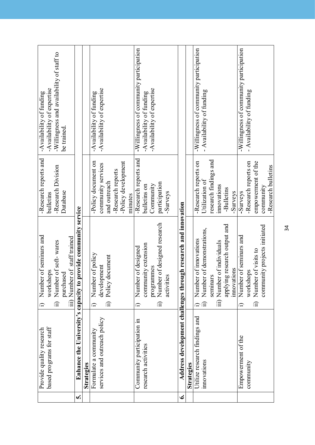|   | based programs for staff<br>Provide quality research | Number of seminars and<br>workshops                            | -Research reports and<br>bulletins | -Availability of expertise<br>-Availability of funding |
|---|------------------------------------------------------|----------------------------------------------------------------|------------------------------------|--------------------------------------------------------|
|   |                                                      | ii) Number of soft-wares                                       | -Research Division                 | -Willingness and availability of staff to              |
|   |                                                      | purchased                                                      | Database                           | be trained.                                            |
|   |                                                      | iii) Number of staff trained                                   |                                    |                                                        |
| n |                                                      | Enhance the University's capacity to provide community service |                                    |                                                        |
|   | Strategies                                           |                                                                |                                    |                                                        |
|   | Formulate a community                                | i) Number of policy                                            | -Policy document on                | -Availability of funding                               |
|   | services and outreach policy                         | development                                                    | community services                 | -Availability of expertise                             |
|   |                                                      | Policy document<br>$\widehat{\Xi}$                             | and outreach                       |                                                        |
|   |                                                      |                                                                | -Research reports                  |                                                        |
|   |                                                      |                                                                | -Policy development                |                                                        |
|   |                                                      |                                                                | minutes                            |                                                        |
|   | Community participation in                           | Number of designed<br>$\widehat{\mathbf{u}}$                   | -Research reports and              | -Willingness of community participation                |
|   | research activities                                  | community extension                                            | bulletins on                       | -Availability of funding                               |
|   |                                                      | programmes                                                     | Community                          | -Availability of expertise                             |
|   |                                                      | ii) Number of designed research                                | participation                      |                                                        |
|   |                                                      | activities                                                     | -Surveys                           |                                                        |
| ق |                                                      | Address development challenges through research and innovation |                                    |                                                        |
|   | Strategies                                           |                                                                |                                    |                                                        |
|   | Utilize research findings and                        | Number of innovations                                          | -Research reports on               | -Willingness of community participation                |
|   | innovations                                          | ii) Number of demonstrations,                                  | Utilization of                     | - Availability of funding                              |
|   |                                                      | seminars                                                       | research findings and              |                                                        |
|   |                                                      | iii) Number of individuals                                     | innovations                        |                                                        |
|   |                                                      | applying research output and                                   | -Bulletins                         |                                                        |
|   |                                                      | innovations                                                    | -Surveys                           |                                                        |
|   | Empowerment of the                                   | Number of seminars and<br>≘                                    | -Surveys                           | -Willingness of community participation                |
|   | community                                            | workshops                                                      | -Research reports on               | - Availability of funding                              |
|   |                                                      | Number of visits to<br>$\widehat{\mathbb{E}}$                  | empowerment of the                 |                                                        |
|   |                                                      | community projects initiated                                   | community                          |                                                        |
|   |                                                      |                                                                | -Research bulletins                |                                                        |

34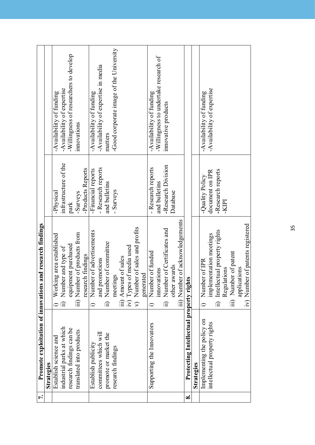| $\mathbf{r}$ . | <b>Promote exploitation of innovations</b>     | and research findings                                     |                       |                                        |
|----------------|------------------------------------------------|-----------------------------------------------------------|-----------------------|----------------------------------------|
|                | Strategies                                     |                                                           |                       |                                        |
|                | Establish science and                          | Working area established                                  | -Physical             | -Availability of funding               |
|                | industrial parks at which                      | ii) Number and type of                                    | infrastructure of the | -Availability of expertise             |
|                | research findings can be                       | equipment purchased                                       | park                  | -Willingness of researchers to develop |
|                | translated into products                       | iii) Number of products from                              | -Surveys              | innovations                            |
|                |                                                | research findings                                         | -Products Reports     |                                        |
|                | Establish publicity                            | Number of advertisements<br>$\widehat{=}$                 | -Financial reports    | -Availability of funding               |
|                | committees which will                          | and promotions                                            | - Research reports    | -Availability of expertise in media    |
|                | promote or market the                          | ii) Number of committee                                   | and bulletins         | matters                                |
|                | research findings                              | meetings                                                  | - Surveys             | Good corporate image of the University |
|                |                                                | iii) Amount of sales                                      |                       |                                        |
|                |                                                |                                                           |                       |                                        |
|                |                                                | iv) Types of media used<br>v) Number of sales and profits |                       |                                        |
|                |                                                | generated                                                 |                       |                                        |
|                | Supporting the Innovators                      | Number of funded<br>$\hat{=}$                             | - Research reports    | -Availability of funding               |
|                |                                                | innovations                                               | and bulletins         | -Willingness to undertake research of  |
|                |                                                | ii) Number of Certificates and                            | -Research Division    | innovative products                    |
|                |                                                | other awards                                              | Database              |                                        |
|                |                                                | iii) Number of acknowledgements                           |                       |                                        |
| ∞              | <b>Protecting Intellectual property rights</b> |                                                           |                       |                                        |
|                | Strategies                                     |                                                           |                       |                                        |
|                | Implementing the policy on                     | Number of IPR                                             | -Quality Policy       | -Availability of funding               |
|                | intellectual property rights                   | implementation meetings                                   | document on IPR       | -Availability of expertise             |
|                |                                                | ii) Intellectual property rights                          | -Research reports     |                                        |
|                |                                                | ations<br>Regula                                          | <b>IdIX-</b>          |                                        |
|                |                                                | iii) Number of patent                                     |                       |                                        |
|                |                                                | applications                                              |                       |                                        |
|                |                                                | iv) Number of patents registered                          |                       |                                        |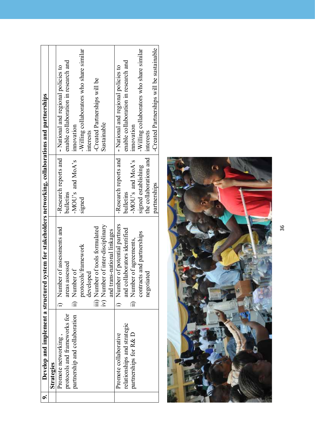| Develop and implement a structured | system for stakeholders networking, collaborations and partnerships |                         |                                           |
|------------------------------------|---------------------------------------------------------------------|-------------------------|-------------------------------------------|
| Strategies                         |                                                                     |                         |                                           |
| Promote networking,                | i) Number of assessments and                                        | -Research reports and   | - National and regional policies to       |
| protocols and frameworks for       | assessed<br>areas a                                                 | bulletins               | enable collaboration in research and      |
| partnership and collaboration      | ii) Number of                                                       | - $MOU$ 's and $MoA$ 's | innovation                                |
|                                    | protocols/framework                                                 | signed                  | -Willing collaborators who share similar  |
|                                    | developed                                                           |                         | interests                                 |
|                                    | iii) Number of tools formulated                                     |                         | -Created Partnerships will be             |
|                                    | iv) Number of inter-disciplinary                                    |                         | Sustainable                               |
|                                    | and trans-national linkages                                         |                         |                                           |
| Promote collaborative              | i) Number of potential partners                                     | -Research reports and   | - National and regional policies to       |
| relationships and strategic        | and collaborators identified                                        | bulletins               | enable collaboration in research and      |
| partnerships for R& D              | ii) Number of agreements,                                           | - $MOU's$ and $MoA's$   | mnovation                                 |
|                                    | contracts and partnerships                                          | signed establishing     | -Willing collaborators who share similar  |
|                                    | negotiated                                                          | the collaborations and  | interests                                 |
|                                    |                                                                     | partnerships            | -Created Partnerships will be sustainable |

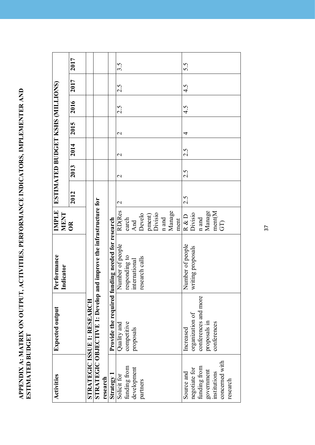APPENDIX A: MATRIX ON OUTPUT, ACTIVITIES, PERFORMANCE INDICATORS, IMPLEMENTER AND<br>ESTIMATED BUDGET **aPPenDiX a: MatriX on outPut, aCtivities, PerForManCe inDiCators, iMPLeMenter anD estiMateD BuDGet**

| <b>Activities</b> | Expected output                                                   | Performance<br>Indicator                         | <b>MENT</b>              | IMPLE   ESTIMATED BUDGET KSHS (MILLIONS) |                   |               |                   |      |      |      |
|-------------------|-------------------------------------------------------------------|--------------------------------------------------|--------------------------|------------------------------------------|-------------------|---------------|-------------------|------|------|------|
|                   |                                                                   |                                                  | $\overline{\mathrm{OR}}$ | 2012                                     | 2013              | 2014          | 2015              | 2016 | 2017 | 2017 |
|                   | STRATEGIC ISSUE 1: RESEARCH                                       |                                                  |                          |                                          |                   |               |                   |      |      |      |
|                   | STRATEGIC OBJECTIVE 1: Develop and improve the infrastructure for |                                                  |                          |                                          |                   |               |                   |      |      |      |
| research          |                                                                   |                                                  |                          |                                          |                   |               |                   |      |      |      |
| Strategy          |                                                                   | Provide the required funding needed for research |                          |                                          |                   |               |                   |      |      |      |
| Solicit for       | Quality and                                                       | Number of people                                 | <b>RD</b> (Res           | $\mathbf{\Omega}$                        | $\mathbf{\Omega}$ | $\mathcal{L}$ | $\mathbf{\Omega}$ | 2.5  | 2.5  | 3.5  |
| funding from      | competitive                                                       | responding to                                    | earch                    |                                          |                   |               |                   |      |      |      |
| development       | proposals                                                         | international                                    | And                      |                                          |                   |               |                   |      |      |      |
| partners          |                                                                   | research calls                                   | Develo                   |                                          |                   |               |                   |      |      |      |
|                   |                                                                   |                                                  | pment)<br>Divisio        |                                          |                   |               |                   |      |      |      |
|                   |                                                                   |                                                  |                          |                                          |                   |               |                   |      |      |      |
|                   |                                                                   |                                                  | ${\bf n}$ and            |                                          |                   |               |                   |      |      |      |
|                   |                                                                   |                                                  | Manage                   |                                          |                   |               |                   |      |      |      |
|                   |                                                                   |                                                  | ment                     |                                          |                   |               |                   |      |      |      |
| Source and        | Increased                                                         | Number of people                                 | R & D                    | 2.5                                      | 2.5               | 2.5           | 4                 | 4.5  | 4.5  | 5.5  |
| negotiate for     | organization of                                                   | writing proposals                                | Divisio                  |                                          |                   |               |                   |      |      |      |
| funding from      | conferences and more                                              |                                                  | $\mathbf n$ and          |                                          |                   |               |                   |      |      |      |
| government        | proposals in                                                      |                                                  | Manage                   |                                          |                   |               |                   |      |      |      |
| institutions      | conferences                                                       |                                                  | ment(M                   |                                          |                   |               |                   |      |      |      |
| concerned with    |                                                                   |                                                  | GD                       |                                          |                   |               |                   |      |      |      |
| research          |                                                                   |                                                  |                          |                                          |                   |               |                   |      |      |      |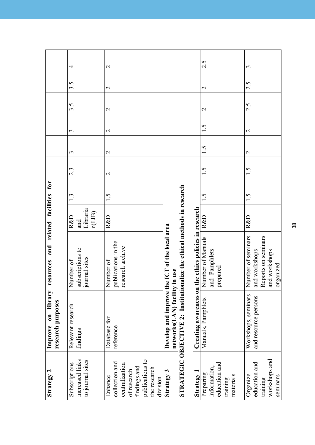| Strategy 2                                                                                         | library<br>research purposes<br>$\mathbf{u}$<br>Improve                                                                                                   | resources and related facilities for                                                     |                                             |                     |                          |                   |                   |                   |               |                |
|----------------------------------------------------------------------------------------------------|-----------------------------------------------------------------------------------------------------------------------------------------------------------|------------------------------------------------------------------------------------------|---------------------------------------------|---------------------|--------------------------|-------------------|-------------------|-------------------|---------------|----------------|
| increased links<br>to journal sites<br>Subscriptions                                               | Relevant research<br>findings                                                                                                                             | subscriptions to<br>journal sites<br>Number of                                           | Libraria<br>n(LIB)<br><b>R&amp;D</b><br>and | 1.3                 | 2.3                      | 3                 | 3                 | $3.\overline{5}$  | 3.5           | 4              |
| publications to<br>collection and<br>centralization<br>findings and<br>the research<br>of research | Database for<br>reference                                                                                                                                 | publications in the<br>research archive<br>Number of                                     | <b>R&amp;D</b>                              | 1.5                 | $\overline{\mathcal{C}}$ | $\mathbf{C}$      | $\mathcal{L}$     | $\mathbf{\Omega}$ | $\mathcal{C}$ | $\mathcal{L}$  |
| Strategy 3                                                                                         | STRATEGIC OBJECTIVE 2: Institutionalize the ethical methods in research<br>Develop and improve the ICT of the local area<br>networks(LAN) facility in use |                                                                                          |                                             |                     |                          |                   |                   |                   |               |                |
|                                                                                                    |                                                                                                                                                           | Creating awareness on the ethics policies in research                                    |                                             |                     |                          |                   |                   |                   |               |                |
| education and<br>information<br>Preparing<br>Strategy                                              | Manuals, Pamphlets                                                                                                                                        | Number of Manuals<br>and Pamphlets<br>prepared                                           | R&D                                         | $\dot{\mathcal{S}}$ | 1.5                      | 1.5               | 1.5               | $\mathbf{\Omega}$ | $\mathbf 2$   | 2.5            |
| workshops and<br>education and                                                                     | Workshops, seminars<br>and resource persons                                                                                                               | Number of seminars<br>Reports on seminars<br>and workshops<br>and workshops<br>organized | R&D                                         | 1.5                 | 1.5                      | $\mathbf{\Omega}$ | $\mathbf{\Omega}$ | 2.5               | 2.5           | $\mathfrak{c}$ |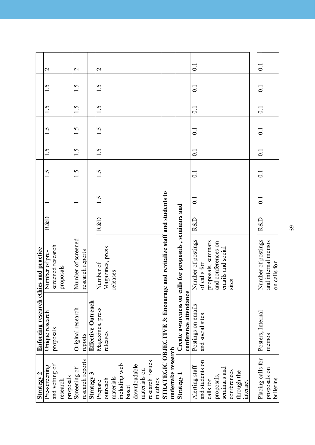|                                        | $\mathcal{L}$   |                   |           |           | $\mathbf{C}$       |                  |                           | $\mathbf{C}$     |                  |           |               |       |              |              |                 |           |                                                                       |                    |                                                       |                       | $\overline{\circ}$                     |                     |                    |                   |             |             |          | $\overline{\circ}$ |                    |              |
|----------------------------------------|-----------------|-------------------|-----------|-----------|--------------------|------------------|---------------------------|------------------|------------------|-----------|---------------|-------|--------------|--------------|-----------------|-----------|-----------------------------------------------------------------------|--------------------|-------------------------------------------------------|-----------------------|----------------------------------------|---------------------|--------------------|-------------------|-------------|-------------|----------|--------------------|--------------------|--------------|
|                                        | 1.5             |                   |           |           | 1.5                |                  |                           | 1.5              |                  |           |               |       |              |              |                 |           |                                                                       |                    |                                                       |                       | $\overline{0}$                         |                     |                    |                   |             |             |          | $\overline{0}$ .   |                    |              |
|                                        | 1.5             |                   |           |           | 1.5                |                  |                           | 1.5              |                  |           |               |       |              |              |                 |           |                                                                       |                    |                                                       |                       | $\overline{0}$ :                       |                     |                    |                   |             |             |          | $\overline{0}$ :   |                    |              |
|                                        | 1.5             |                   |           |           | 1.5                |                  |                           | 1.5              |                  |           |               |       |              |              |                 |           |                                                                       |                    |                                                       |                       | $\overline{0}$                         |                     |                    |                   |             |             |          | $\overline{0}$ .   |                    |              |
|                                        | 1.5             |                   |           |           | 1.5                |                  |                           | 1.5              |                  |           |               |       |              |              |                 |           |                                                                       |                    |                                                       |                       | $\overline{0}$                         |                     |                    |                   |             |             |          | $\overline{0}$ :   |                    |              |
|                                        | 1.5             |                   |           |           | 1.5                |                  |                           | 1.5              |                  |           |               |       |              |              |                 |           |                                                                       |                    |                                                       |                       | $\overline{0}$                         |                     |                    |                   |             |             |          | $\overline{0}$ .   |                    |              |
|                                        |                 |                   |           |           |                    |                  |                           | $\ddot{5}$       |                  |           |               |       |              |              |                 |           |                                                                       |                    |                                                       |                       | $\overline{0}$                         |                     |                    |                   |             |             |          | $\overline{0}$ :   |                    |              |
|                                        | <b>R&amp;D</b>  |                   |           |           |                    |                  |                           | R&D              |                  |           |               |       |              |              |                 |           |                                                                       |                    |                                                       |                       | <b>R&amp;D</b>                         |                     |                    |                   |             |             |          | <b>R&amp;D</b>     |                    |              |
|                                        | Number of pre-  | screened research | proposals |           | Number of screened | research reports |                           | Number of        | Magazines, press | releases  |               |       |              |              |                 |           |                                                                       |                    |                                                       |                       | Number of postings<br>of calls for     | proposals, seminars | and conferences on | emails and social | sites       |             |          | Number of postings | and internal memos | on calls for |
| Enforcing research ethics and practice | Unique research | proposals         |           |           | Original research  | reports          | <b>Effective Outreach</b> | Magazines, press | releases         |           |               |       |              |              |                 |           | STRATEGIC OBJECTIVE 3: Encourage and revitalize staff and students to |                    | Create awareness on calls for proposals, seminars and | conference attendance | Postings on emails<br>and social sites |                     |                    |                   |             |             |          | Posters, Internal  | memos              |              |
| Strategy 2                             | Pre-screening   | and vetting of    | research  | proposals | Screening of       | research reports | Strategy 3                | Prepare          | outreach         | materials | including web | based | downloadable | materials on | research issues | in ethics |                                                                       | undertake research | <b>Strategy</b>                                       |                       | and students on<br>Alerting staff      | calls for           | proposals,         | seminars and      | conferences | through the | internet | Placing calls for  | proposals on       | bulletins    |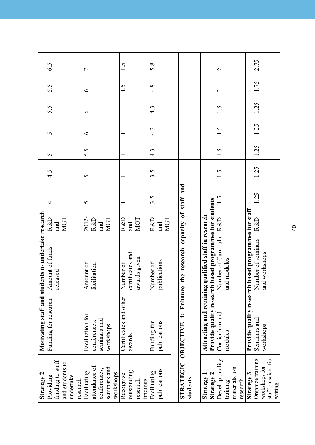| Strategy 2          |                        | Motivating staff and students to undertake research    |                |      |          |                  |                  |                  |                  |                |
|---------------------|------------------------|--------------------------------------------------------|----------------|------|----------|------------------|------------------|------------------|------------------|----------------|
| Providing           | Funding for research   | Amount of funds                                        | R&D            | 4    | 4.5      | 5                | 5                | 5.5              | 5.5              | 6.5            |
| funding to staff    |                        | released                                               | and            |      |          |                  |                  |                  |                  |                |
| and students to     |                        |                                                        | <b>MGT</b>     |      |          |                  |                  |                  |                  |                |
| undertake           |                        |                                                        |                |      |          |                  |                  |                  |                  |                |
| research            |                        |                                                        |                |      |          |                  |                  |                  |                  |                |
| Facilitating        | Facilitation for       | Amount of                                              | 2012-          | 5    | $\sigma$ | 5.5              | $\circ$          | $\circ$          | $\circ$          | $\overline{ }$ |
| attendance of       | conferences.           | facilitation                                           | R&D            |      |          |                  |                  |                  |                  |                |
| conferences.        | seminars and           |                                                        | and            |      |          |                  |                  |                  |                  |                |
| seminars and        | workshops              |                                                        | <b>MGT</b>     |      |          |                  |                  |                  |                  |                |
| workshops           |                        |                                                        |                |      |          |                  |                  |                  |                  |                |
| Recognize           | Certificates and other | Number of                                              | <b>R&amp;D</b> |      |          |                  |                  |                  | 1.5              | 1.5            |
| outstanding         | awards                 | certificates and                                       | and            |      |          |                  |                  |                  |                  |                |
| research            |                        | awards given                                           | <b>MGT</b>     |      |          |                  |                  |                  |                  |                |
| findings            |                        |                                                        |                |      |          |                  |                  |                  |                  |                |
| Facilitating        | Funding for            | Number of                                              | <b>R&amp;D</b> | 3.5  | 3.5      | $4.\overline{3}$ | $4.\overline{3}$ | $4.\overline{3}$ | $4.\overline{8}$ | 5.8            |
| publications        | publications           | publications                                           | and            |      |          |                  |                  |                  |                  |                |
|                     |                        |                                                        | <b>MGT</b>     |      |          |                  |                  |                  |                  |                |
|                     |                        |                                                        |                |      |          |                  |                  |                  |                  |                |
| STRATEGIC OBJECTIVE | $\ddot{ }$             | Enhance the research capacity of staff and             |                |      |          |                  |                  |                  |                  |                |
| students            |                        |                                                        |                |      |          |                  |                  |                  |                  |                |
|                     |                        |                                                        |                |      |          |                  |                  |                  |                  |                |
| Strategy 1          |                        | Attracting and retaining qualified staff in research   |                |      |          |                  |                  |                  |                  |                |
| <b>Strategy 2</b>   |                        | Provide quality research based programmes for students |                |      |          |                  |                  |                  |                  |                |
| Develop quality     | Curriculum and         | Number of Curricula                                    | R&D            | 1.5  | 1.5      | 1.5              | 1.5              | 1.5              | $\mathbf{C}$     | $\mathbf 2$    |
| training            | modules                | and modules                                            |                |      |          |                  |                  |                  |                  |                |
| materials on        |                        |                                                        |                |      |          |                  |                  |                  |                  |                |
| research            |                        |                                                        |                |      |          |                  |                  |                  |                  |                |
| Strategy 3          | Provide quality resear | ch based programmes for staff                          |                |      |          |                  |                  |                  |                  |                |
| Organize training   | Seminars and           | Number of seminars                                     | R&D            | 1.25 | 1.25     | 1.25             | 1.25             | 1.25             | 1.75             | 2.75           |
| workshops for       | workshops              | and workshops                                          |                |      |          |                  |                  |                  |                  |                |
| staff on scientific |                        |                                                        |                |      |          |                  |                  |                  |                  |                |
| writing             |                        |                                                        |                |      |          |                  |                  |                  |                  |                |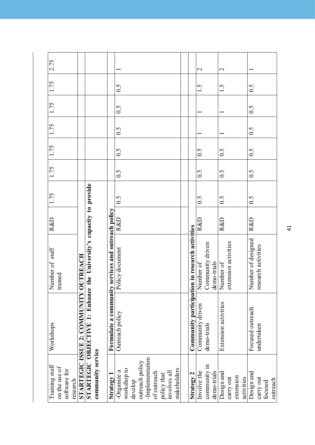| Training staff    | Workshops                                                           | Number of staff                                                                                                                                   | R&D            | 1.75               | 1.75               | 1.75               | 1.75            | 1.75 | 1.75               | 2.75                     |
|-------------------|---------------------------------------------------------------------|---------------------------------------------------------------------------------------------------------------------------------------------------|----------------|--------------------|--------------------|--------------------|-----------------|------|--------------------|--------------------------|
| on the use of     |                                                                     | trained                                                                                                                                           |                |                    |                    |                    |                 |      |                    |                          |
| software for      |                                                                     |                                                                                                                                                   |                |                    |                    |                    |                 |      |                    |                          |
| research          |                                                                     |                                                                                                                                                   |                |                    |                    |                    |                 |      |                    |                          |
|                   | <b>STARTEGIC ISSUE 2: COMMUNITY</b>                                 | <b>OUTREACH</b>                                                                                                                                   |                |                    |                    |                    |                 |      |                    |                          |
|                   | STARTEGIC OBJECTIVE 1: Enhance the University's capacity to provide |                                                                                                                                                   |                |                    |                    |                    |                 |      |                    |                          |
| community service |                                                                     |                                                                                                                                                   |                |                    |                    |                    |                 |      |                    |                          |
| Strategy 1        |                                                                     |                                                                                                                                                   |                |                    |                    |                    |                 |      |                    |                          |
| -Organize $a$     | Outreach policy                                                     | <b>Formulate a community services and outreach policy</b><br>Outreach policy $\begin{array}{c c} \text{Policy document} & \text{R&D} \end{array}$ |                | 0.5                | $\widetilde{0}$ .5 | $\widetilde{0}$ .5 | 0.5             | 0.5  | $\widetilde{0}$ .5 |                          |
| workshop to       |                                                                     |                                                                                                                                                   |                |                    |                    |                    |                 |      |                    |                          |
| develop           |                                                                     |                                                                                                                                                   |                |                    |                    |                    |                 |      |                    |                          |
| outreach policy   |                                                                     |                                                                                                                                                   |                |                    |                    |                    |                 |      |                    |                          |
| -Implementation   |                                                                     |                                                                                                                                                   |                |                    |                    |                    |                 |      |                    |                          |
| of outreach       |                                                                     |                                                                                                                                                   |                |                    |                    |                    |                 |      |                    |                          |
| policy that       |                                                                     |                                                                                                                                                   |                |                    |                    |                    |                 |      |                    |                          |
| involves all      |                                                                     |                                                                                                                                                   |                |                    |                    |                    |                 |      |                    |                          |
| stakeholders      |                                                                     |                                                                                                                                                   |                |                    |                    |                    |                 |      |                    |                          |
|                   |                                                                     |                                                                                                                                                   |                |                    |                    |                    |                 |      |                    |                          |
| Strategy 2        | Community participati                                               | ion in research activities                                                                                                                        |                |                    |                    |                    |                 |      |                    |                          |
| Involve the       | Community driven                                                    | Number of                                                                                                                                         | R&D            | 0.5                | 0.5                | 0.5                |                 |      | 1.5                | $\mathbf{C}$             |
| community in      | demo-trials                                                         | Community driven                                                                                                                                  |                |                    |                    |                    |                 |      |                    |                          |
| demo-trials       |                                                                     | demo-trials                                                                                                                                       |                |                    |                    |                    |                 |      |                    |                          |
| Design and        | Extension activities                                                | Number of                                                                                                                                         | <b>R&amp;D</b> | 0.5                | 0.5                | 0.5                |                 |      | 1.5                | $\overline{\mathcal{C}}$ |
| carry out         |                                                                     | extension activities                                                                                                                              |                |                    |                    |                    |                 |      |                    |                          |
| extension         |                                                                     |                                                                                                                                                   |                |                    |                    |                    |                 |      |                    |                          |
| activities        |                                                                     |                                                                                                                                                   |                |                    |                    |                    |                 |      |                    |                          |
| Design and        | Focused outreach                                                    | Number of designed                                                                                                                                | R&D            | $\widetilde{S}$ :0 | 0.5                | 0.5                | $\widetilde{C}$ | 0.5  | $\widetilde{C}$    |                          |
| carry out         | undertaken                                                          | research activities                                                                                                                               |                |                    |                    |                    |                 |      |                    |                          |
| focused           |                                                                     |                                                                                                                                                   |                |                    |                    |                    |                 |      |                    |                          |
| outreach          |                                                                     |                                                                                                                                                   |                |                    |                    |                    |                 |      |                    |                          |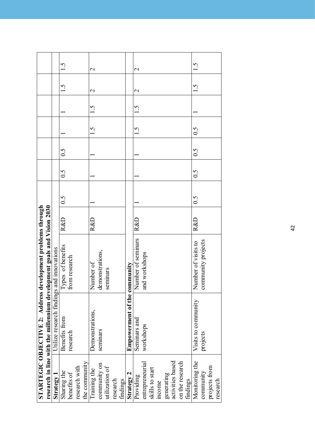|                                                             |                                                                        |                                           | 1.5               |               |               |               | $\overline{\mathcal{C}}$ |                 |                |          |          |                              | $\overline{\mathcal{C}}$ |                 |                 |        |            |                  |                 |          | 1.5                 |                    |               |          |
|-------------------------------------------------------------|------------------------------------------------------------------------|-------------------------------------------|-------------------|---------------|---------------|---------------|--------------------------|-----------------|----------------|----------|----------|------------------------------|--------------------------|-----------------|-----------------|--------|------------|------------------|-----------------|----------|---------------------|--------------------|---------------|----------|
|                                                             |                                                                        |                                           | 1.5               |               |               |               | $\overline{\mathcal{C}}$ |                 |                |          |          |                              | $\mathcal{C}$            |                 |                 |        |            |                  |                 |          | 1.5                 |                    |               |          |
|                                                             |                                                                        |                                           |                   |               |               |               | 1.5                      |                 |                |          |          |                              | 1.5                      |                 |                 |        |            |                  |                 |          |                     |                    |               |          |
|                                                             |                                                                        |                                           |                   |               |               |               | 1.5                      |                 |                |          |          |                              | 1.5                      |                 |                 |        |            |                  |                 |          | 0.5                 |                    |               |          |
|                                                             |                                                                        |                                           | 0.5               |               |               |               |                          |                 |                |          |          |                              |                          |                 |                 |        |            |                  |                 |          | 0.5                 |                    |               |          |
|                                                             |                                                                        |                                           | 0.5               |               |               |               |                          |                 |                |          |          |                              |                          |                 |                 |        |            |                  |                 |          | 0.5                 |                    |               |          |
|                                                             |                                                                        |                                           | 0.5               |               |               |               |                          |                 |                |          |          |                              |                          |                 |                 |        |            |                  |                 |          | 0.5                 |                    |               |          |
|                                                             |                                                                        |                                           | <b>R&amp;D</b>    |               |               |               | R&D                      |                 |                |          |          |                              | R&D                      |                 |                 |        |            |                  |                 |          | R&D                 |                    |               |          |
|                                                             |                                                                        |                                           | Types of benefits | from research |               |               | Number of                | demonstrations, | seminars       |          |          |                              | Number of seminars       | and workshops   |                 |        |            |                  |                 |          | Number of visits to | community projects |               |          |
| STARTEGIC OBJECTIVE 2: Address development problems through | research in line with the millennium development goals and Vision 2030 | Utilize research findings and innovations | Benefits from     | research      |               |               | Demonstrations,          | seminars        |                |          |          | Empowerment of the community | Seminars and             | workshops       |                 |        |            |                  |                 |          | Visits to community | projects           |               |          |
|                                                             |                                                                        | Strategy 1                                | Sharing the       | benefits of   | research with | the community | Training the             | community on    | utilization of | research | findings | Strategy 2                   | Providing                | entrepreneurial | skills to start | income | generating | activities based | on the research | findings | Monitoring the      | community          | projects from | research |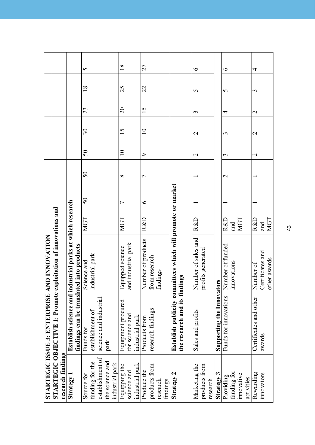|                   | STARTEGIC ISSUE 3: ENTERPRISE  | <b>AND INNOVATION</b>                                       |                |                |               |               |                   |                   |    |                |
|-------------------|--------------------------------|-------------------------------------------------------------|----------------|----------------|---------------|---------------|-------------------|-------------------|----|----------------|
|                   | STARTEGIC OBJECTIVE 1: Promote | exploitation of innovations and                             |                |                |               |               |                   |                   |    |                |
| research findings |                                |                                                             |                |                |               |               |                   |                   |    |                |
| Strategy 1        | Establish science and in       | ndustrial parks at which research                           |                |                |               |               |                   |                   |    |                |
|                   | findings can be transla        | ted into products                                           |                |                |               |               |                   |                   |    |                |
| Source for        | Funds for                      | Science and                                                 | <b>MGT</b>     | 50             | $50\,$        | $50\,$        | $30\,$            | 23                | 18 | 5              |
| funding for the   | establishment of               | industrial park                                             |                |                |               |               |                   |                   |    |                |
| establishment of  | science and industrial         |                                                             |                |                |               |               |                   |                   |    |                |
| the science and   | park                           |                                                             |                |                |               |               |                   |                   |    |                |
| industrial park   |                                |                                                             |                |                |               |               |                   |                   |    |                |
| Equipping the     | Equipment procured             | Equipped science                                            | <b>NGT</b>     | $\overline{ }$ | $\infty$      | $\equiv$      | 15                | $\Omega$          | 25 | $\frac{8}{18}$ |
| science and       | for science and                | and industrial park                                         |                |                |               |               |                   |                   |    |                |
| industrial park   | industrial park                |                                                             |                |                |               |               |                   |                   |    |                |
| Produce the       | Products from                  | Number of products                                          | <b>R&amp;D</b> | $\circ$        | 7             | $\sigma$      | $\overline{10}$   | 15                | 22 | 27             |
| products from     | research findings              | from research                                               |                |                |               |               |                   |                   |    |                |
| research          |                                | findings                                                    |                |                |               |               |                   |                   |    |                |
| findings          |                                |                                                             |                |                |               |               |                   |                   |    |                |
| Strategy 2        |                                | Establish publicity committees which will promote or market |                |                |               |               |                   |                   |    |                |
|                   | the research and its findings  |                                                             |                |                |               |               |                   |                   |    |                |
|                   |                                |                                                             |                |                |               |               |                   |                   |    |                |
| Marketing the     | Sales and profits              | Number of sales and                                         | R&D            |                |               | $\mathbf 2$   | $\mathcal{C}$     | 3                 | 5  | $\bullet$      |
| products from     |                                | profits generated                                           |                |                |               |               |                   |                   |    |                |
| research          |                                |                                                             |                |                |               |               |                   |                   |    |                |
| Strategy 3        | <b>Supporting the Innova</b>   | tors                                                        |                |                |               |               |                   |                   |    |                |
| Providing         | Funds for innovations          | Number of funded                                            | R&D            |                | $\mathcal{C}$ | 3             | 3                 | 4                 | 5  | $\bullet$      |
| funding for       |                                | inno vations                                                | and            |                |               |               |                   |                   |    |                |
| innovative        |                                |                                                             | <b>MGT</b>     |                |               |               |                   |                   |    |                |
| activities        |                                |                                                             |                |                |               |               |                   |                   |    |                |
| Rewarding         | Certificates and other         | Number of                                                   | R&D            |                |               | $\mathcal{L}$ | $\mathbf{\Omega}$ | $\mathbf{\Omega}$ | 3  | 4              |
| innovators        | awards                         | Certificates and                                            | and            |                |               |               |                   |                   |    |                |
|                   |                                | other awards                                                | <b>NGT</b>     |                |               |               |                   |                   |    |                |

43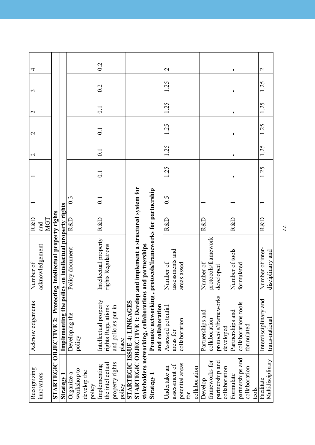| Recognizing       | Acknowledgements                                                      | Number of                                               | R&D            |                    |                    | $\mathcal{C}$      | $\mathcal{C}$         | $\mathcal{L}$      | 3              | 4             |
|-------------------|-----------------------------------------------------------------------|---------------------------------------------------------|----------------|--------------------|--------------------|--------------------|-----------------------|--------------------|----------------|---------------|
| innovators        |                                                                       | acknowledgement                                         | and            |                    |                    |                    |                       |                    |                |               |
|                   |                                                                       |                                                         | <b>MGT</b>     |                    |                    |                    |                       |                    |                |               |
|                   | <b>STARTEGIC OBJECTIVE 2: Protecting Intellectual property rights</b> |                                                         |                |                    |                    |                    |                       |                    |                |               |
| Strategy          |                                                                       | Implementing the policy on intellectual property rights |                |                    |                    |                    |                       |                    |                |               |
| Organize a        | Developing the                                                        | Policy document                                         | <b>R&amp;D</b> | $0.\overline{3}$   |                    |                    |                       |                    |                |               |
| workshop to       | policy                                                                |                                                         |                |                    |                    |                    |                       |                    |                |               |
| develop the       |                                                                       |                                                         |                |                    |                    |                    |                       |                    |                |               |
| policy            |                                                                       |                                                         |                |                    |                    |                    |                       |                    |                |               |
| Implementing      | Intellectual property                                                 | Intellectual property                                   | R&D            | $\overline{\circ}$ | $\overline{\circ}$ | $\overline{\circ}$ | $\overline{\text{C}}$ | $\overline{\circ}$ | 0.2            | 0.2           |
| the intellectual  | rights Regulations                                                    | rights Regulations                                      |                |                    |                    |                    |                       |                    |                |               |
| property rights   | and policies put in                                                   |                                                         |                |                    |                    |                    |                       |                    |                |               |
| policy            | place                                                                 |                                                         |                |                    |                    |                    |                       |                    |                |               |
|                   | STARTEGIC ISSUE 4: LINKAGES                                           |                                                         |                |                    |                    |                    |                       |                    |                |               |
|                   | STARTEGIC OBJECTIVE 1: Develop and implement a structured system for  |                                                         |                |                    |                    |                    |                       |                    |                |               |
|                   | stakeholders networking, collaborations                               | and partnerships                                        |                |                    |                    |                    |                       |                    |                |               |
| Strategy 1        | Promote networking,                                                   | protocols/frameworks for partnership                    |                |                    |                    |                    |                       |                    |                |               |
|                   | and collaboration                                                     |                                                         |                |                    |                    |                    |                       |                    |                |               |
| Undertake an      | Assessed potential                                                    | Number of                                               | <b>R&amp;D</b> | 0.5                | 1.25               | 1.25               | 1.25                  | 1.25               | 1.25           | $\mathbf{C}$  |
| assessment of     | areas for                                                             | assessments and                                         |                |                    |                    |                    |                       |                    |                |               |
| potential areas   | collaboration                                                         | areas assed                                             |                |                    |                    |                    |                       |                    |                |               |
| for               |                                                                       |                                                         |                |                    |                    |                    |                       |                    |                |               |
| collaboration     |                                                                       |                                                         |                |                    |                    |                    |                       |                    |                |               |
| Develop           | Partnerships and                                                      | Number of                                               | <b>R&amp;D</b> |                    | 1                  | 1                  | 1                     | I.                 | 1              | 1             |
| frameworks for    | collaboration                                                         | protocols/framework                                     |                |                    |                    |                    |                       |                    |                |               |
| partnership and   | protocols/frameworks                                                  | developed                                               |                |                    |                    |                    |                       |                    |                |               |
| collaboration     | developed                                                             |                                                         |                |                    |                    |                    |                       |                    |                |               |
| Formulate         | Partnerships and                                                      | Number of tools                                         | <b>R&amp;D</b> |                    | I                  | ı                  | I                     | ı                  | $\blacksquare$ | ı             |
| partnerships and  | collaborations tools                                                  | formulated                                              |                |                    |                    |                    |                       |                    |                |               |
| collaboration     | formulated                                                            |                                                         |                |                    |                    |                    |                       |                    |                |               |
| $\frac{1}{2}$     |                                                                       |                                                         |                |                    |                    |                    |                       |                    |                |               |
| Facilitate        | Interdisciplinary and                                                 | Number of inter-                                        | R&D            |                    | 1.25               | 1.25               | 1.25                  | 1.25               | 1.25           | $\mathcal{C}$ |
| Multidisciplinary | trans-national                                                        | disciplinary and                                        |                |                    |                    |                    |                       |                    |                |               |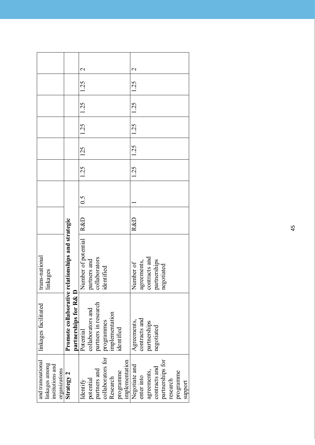| and transnational                  | linkages facilitated         | trans-national              |     |                   |      |      |      |      |      |                          |
|------------------------------------|------------------------------|-----------------------------|-----|-------------------|------|------|------|------|------|--------------------------|
| linkages among<br>institutions and |                              | linkages                    |     |                   |      |      |      |      |      |                          |
| organizations                      |                              |                             |     |                   |      |      |      |      |      |                          |
|                                    |                              |                             |     |                   |      |      |      |      |      |                          |
| Strategy 2                         | Promote collaborative        | relationships and strategic |     |                   |      |      |      |      |      |                          |
|                                    | partnerships for R&D         |                             |     |                   |      |      |      |      |      |                          |
| Identify                           | Potential                    | Number of potential   R&D   |     | $\widetilde{0}$ . | 1.25 | 125  | 1.25 | 1.25 | 1.25 | $\overline{\mathcal{C}}$ |
| potential                          | collaborators and            | partners and                |     |                   |      |      |      |      |      |                          |
| partners and                       | partners in research         | collaborators               |     |                   |      |      |      |      |      |                          |
| collaborators for                  |                              | identified                  |     |                   |      |      |      |      |      |                          |
| Research                           | programmes<br>implementation |                             |     |                   |      |      |      |      |      |                          |
| programme                          | dentified                    |                             |     |                   |      |      |      |      |      |                          |
| implementation                     |                              |                             |     |                   |      |      |      |      |      |                          |
| Negotiate and                      | Agreements,                  | Number of                   | R&D |                   | 1.25 | 1.25 | 1.25 | 1.25 | 1.25 | $\mathcal{C}$            |
| enter into                         | contracts and                | agreements,                 |     |                   |      |      |      |      |      |                          |
| agreements,                        | partnerships                 | contracts and               |     |                   |      |      |      |      |      |                          |
| contracts and                      | negotiated                   | partnerships                |     |                   |      |      |      |      |      |                          |
| partnerships for                   |                              | negotiated                  |     |                   |      |      |      |      |      |                          |
| research                           |                              |                             |     |                   |      |      |      |      |      |                          |
| programme                          |                              |                             |     |                   |      |      |      |      |      |                          |
| support                            |                              |                             |     |                   |      |      |      |      |      |                          |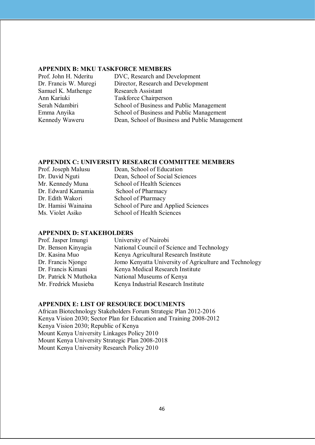#### **aPPenDiX B: MKu tasKForCe MeMBers**

| Prof. John H. Nderitu | DVC, Research and Development                  |
|-----------------------|------------------------------------------------|
| Dr. Francis W. Muregi | Director, Research and Development             |
| Samuel K. Mathenge    | <b>Research Assistant</b>                      |
| Ann Kariuki           | <b>Taskforce Chairperson</b>                   |
| Serah Ndambiri        | School of Business and Public Management       |
| Emma Anyika           | School of Business and Public Management       |
| Kennedy Waweru        | Dean, School of Business and Public Management |
|                       |                                                |

#### **aPPenDiX C: university researCH CoMMittee MeMBers**

| Dean, School of Education           |
|-------------------------------------|
| Dean, School of Social Sciences     |
| School of Health Sciences           |
| School of Pharmacy                  |
| School of Pharmacy                  |
| School of Pure and Applied Sciences |
| School of Health Sciences           |
|                                     |

#### **aPPenDiX D: staKeHoLDers**

| Prof. Jasper Imungi   | University of Nairobi                                  |
|-----------------------|--------------------------------------------------------|
| Dr. Benson Kinyagia   | National Council of Science and Technology             |
| Dr. Kasina Muo        | Kenya Agricultural Research Institute                  |
| Dr. Francis Njonge    | Jomo Kenyatta University of Agriculture and Technology |
| Dr. Francis Kimani    | Kenya Medical Research Institute                       |
| Dr. Patrick N Muthoka | National Museums of Kenya                              |
| Mr. Fredrick Musieba  | Kenya Industrial Research Institute                    |
|                       |                                                        |

#### **aPPenDiX e: List oF resourCe DoCuMents**

African Biotechnology Stakeholders Forum Strategic Plan 2012-2016 Kenya Vision 2030; Sector Plan for Education and Training 2008-2012 Kenya Vision 2030; Republic of Kenya Mount Kenya University Linkages Policy 2010 Mount Kenya University Strategic Plan 2008-2018 Mount Kenya University Research Policy 2010